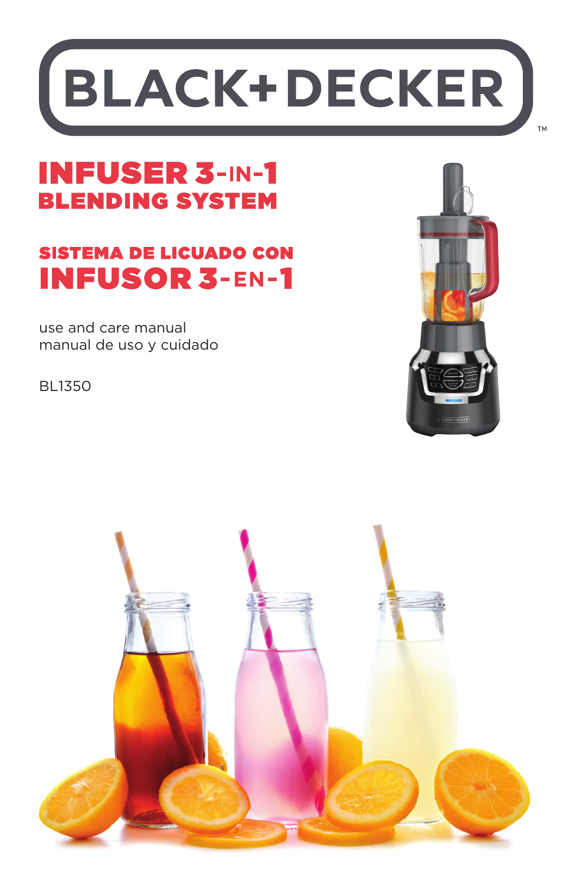# **BLACK+DECKER**

# **INFUSER 3-IN-1 BLENDING SYSTEM**

# **SISTEMA DE LICUADO CON INFUSOR 3-EN-1**

use and care manual manual de uso y cuidado

BL1350



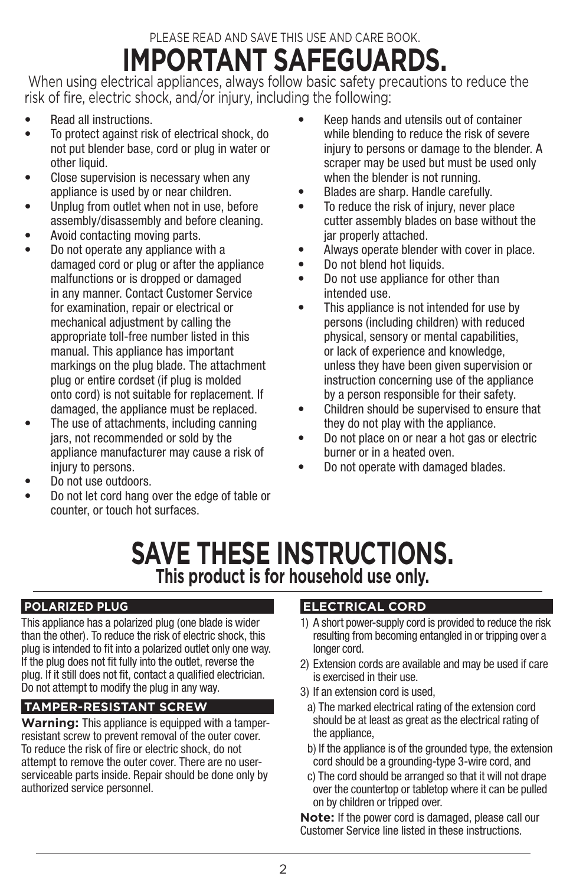# PLEASE READ AND SAVE THIS USE AND CARE BOOK. **IMPORTANT SAFEGUARDS.**

 When using electrical appliances, always follow basic safety precautions to reduce the risk of fire, electric shock, and/or injury, including the following:

- Read all instructions.
- To protect against risk of electrical shock, do not put blender base, cord or plug in water or other liquid.
- Close supervision is necessary when any appliance is used by or near children.
- Unplug from outlet when not in use, before assembly/disassembly and before cleaning.
- Avoid contacting moving parts.
- Do not operate any appliance with a damaged cord or plug or after the appliance malfunctions or is dropped or damaged in any manner. Contact Customer Service for examination, repair or electrical or mechanical adjustment by calling the appropriate toll-free number listed in this manual. This appliance has important markings on the plug blade. The attachment plug or entire cordset (if plug is molded onto cord) is not suitable for replacement. If damaged, the appliance must be replaced.
- The use of attachments, including canning jars, not recommended or sold by the appliance manufacturer may cause a risk of injury to persons.
- Do not use outdoors.
- Do not let cord hang over the edge of table or counter, or touch hot surfaces.
- Keep hands and utensils out of container while blending to reduce the risk of severe injury to persons or damage to the blender. A scraper may be used but must be used only when the blender is not running.
- Blades are sharp. Handle carefully.
- To reduce the risk of injury, never place cutter assembly blades on base without the jar properly attached.
- Always operate blender with cover in place.
- Do not blend hot liquids.
- Do not use appliance for other than intended use.
- This appliance is not intended for use by persons (including children) with reduced physical, sensory or mental capabilities, or lack of experience and knowledge, unless they have been given supervision or instruction concerning use of the appliance by a person responsible for their safety.
- Children should be supervised to ensure that they do not play with the appliance.
- Do not place on or near a hot gas or electric burner or in a heated oven.
- Do not operate with damaged blades.

# **SAVE THESE INSTRUCTIONS. This product is for household use only.**

## **POLARIZED PLUG**

This appliance has a polarized plug (one blade is wider than the other). To reduce the risk of electric shock, this plug is intended to fit into a polarized outlet only one way. If the plug does not fit fully into the outlet, reverse the plug. If it still does not fit, contact a qualified electrician. Do not attempt to modify the plug in any way.

## **TAMPER-RESISTANT SCREW**

**Warning:** This appliance is equipped with a tamperresistant screw to prevent removal of the outer cover. To reduce the risk of fire or electric shock, do not attempt to remove the outer cover. There are no userserviceable parts inside. Repair should be done only by authorized service personnel.

## **ELECTRICAL CORD**

- 1) A short power-supply cord is provided to reduce the risk resulting from becoming entangled in or tripping over a longer cord.
- 2) Extension cords are available and may be used if care is exercised in their use.
- 3) If an extension cord is used,
	- a) The marked electrical rating of the extension cord should be at least as great as the electrical rating of the appliance,
	- b) If the appliance is of the grounded type, the extension cord should be a grounding-type 3-wire cord, and
	- c) The cord should be arranged so that it will not drape over the countertop or tabletop where it can be pulled on by children or tripped over.

**Note:** If the power cord is damaged, please call our Customer Service line listed in these instructions.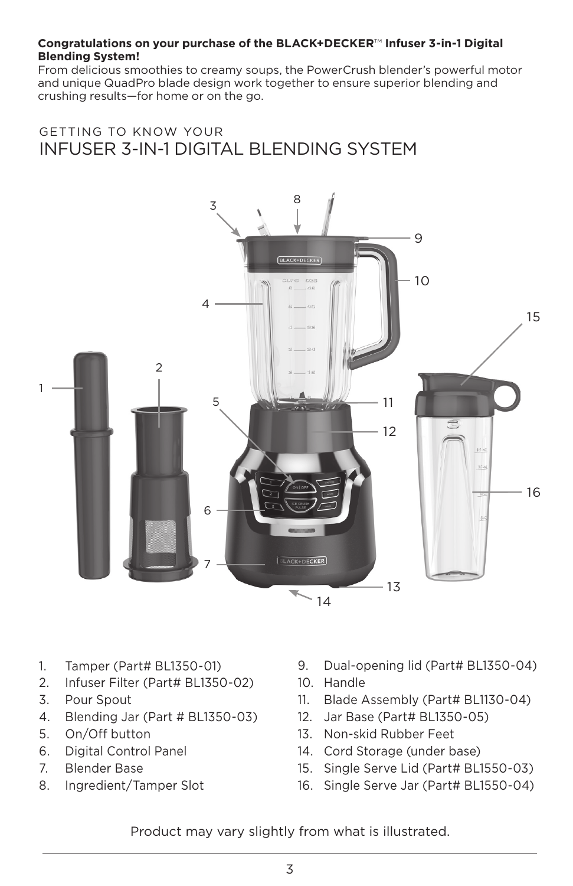#### **Congratulations on your purchase of the BLACK+DECKER**™ **Infuser 3-in-1 Digital Blending System!**

From delicious smoothies to creamy soups, the PowerCrush blender's powerful motor and unique QuadPro blade design work together to ensure superior blending and crushing results—for home or on the go.

## GETTING TO KNOW YOUR INFUSER 3-IN-1 DIGITAL BLENDING SYSTEM



- 1. Tamper (Part# BL1350-01)
- 2. Infuser Filter (Part# BL1350-02)
- 3. Pour Spout
- 4. Blending Jar (Part # BL1350-03)
- 5. On/Off button
- 6. Digital Control Panel
- 7. Blender Base
- 8. Ingredient/Tamper Slot
- 9. Dual-opening lid (Part# BL1350-04)
- 10. Handle
- 11. Blade Assembly (Part# BL1130-04)
- 12. Jar Base (Part# BL1350-05)
- 13. Non-skid Rubber Feet
- 14. Cord Storage (under base)
- 15. Single Serve Lid (Part# BL1550-03)
- 16. Single Serve Jar (Part# BL1550-04)

Product may vary slightly from what is illustrated.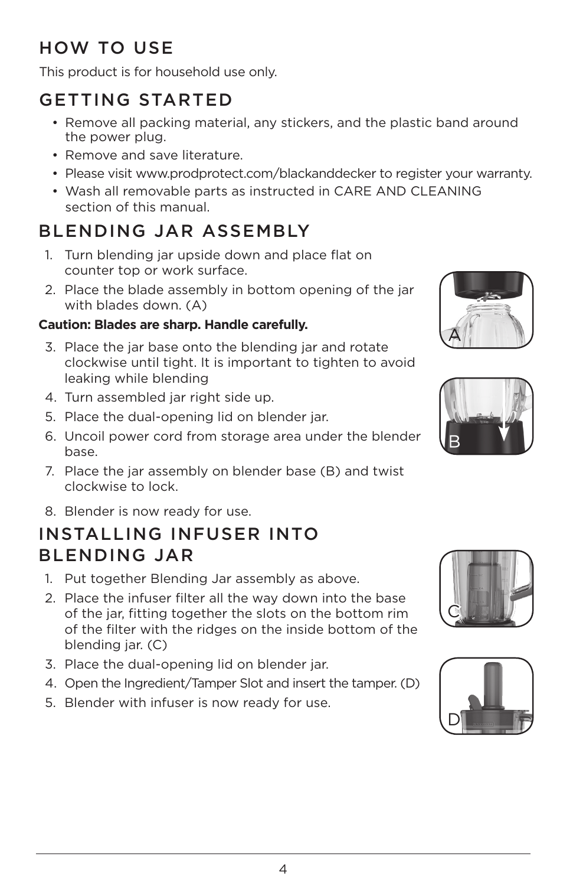# HOW TO USE

This product is for household use only.

# GETTING STARTED

- Remove all packing material, any stickers, and the plastic band around the power plug.
- Remove and save literature.
- Please visit www.prodprotect.com/blackanddecker to register your warranty.
- Wash all removable parts as instructed in CARE AND CLEANING section of this manual.

# BLENDING JAR ASSEMBLY

- 1. Turn blending jar upside down and place flat on counter top or work surface.
- 2. Place the blade assembly in bottom opening of the jar with blades down. (A)

## **Caution: Blades are sharp. Handle carefully.**

- 3. Place the jar base onto the blending jar and rotate clockwise until tight. It is important to tighten to avoid leaking while blending
- 4. Turn assembled jar right side up.
- 5. Place the dual-opening lid on blender jar.
- 6. Uncoil power cord from storage area under the blender base.
- 7. Place the jar assembly on blender base (B) and twist clockwise to lock.
- 8. Blender is now ready for use.

# INSTALLING INFUSER INTO BLENDING JAR

- 1. Put together Blending Jar assembly as above.
- 2. Place the infuser filter all the way down into the base of the jar, fitting together the slots on the bottom rim of the filter with the ridges on the inside bottom of the blending jar. (C)
- 3. Place the dual-opening lid on blender jar.
- 4. Open the Ingredient/Tamper Slot and insert the tamper. (D)
- 5. Blender with infuser is now ready for use.







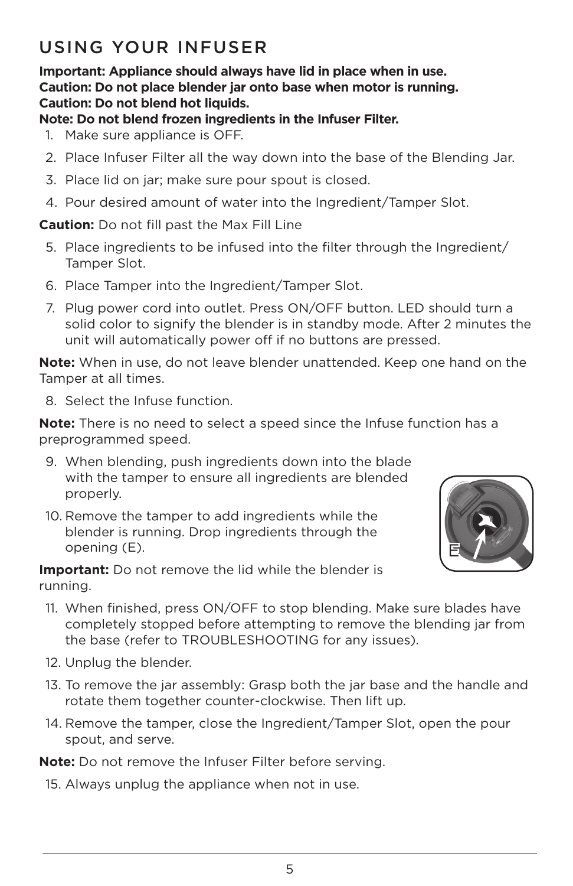## USING YOUR INFUSER

**Important: Appliance should always have lid in place when in use. Caution: Do not place blender jar onto base when motor is running. Caution: Do not blend hot liquids.** 

## **Note: Do not blend frozen ingredients in the Infuser Filter.**

- 1. Make sure appliance is OFF.
- 2. Place Infuser Filter all the way down into the base of the Blending Jar.
- 3. Place lid on jar; make sure pour spout is closed.
- 4. Pour desired amount of water into the Ingredient/Tamper Slot.

**Caution:** Do not fill past the Max Fill Line

- 5. Place ingredients to be infused into the filter through the Ingredient/ Tamper Slot.
- 6. Place Tamper into the Ingredient/Tamper Slot.
- 7. Plug power cord into outlet. Press ON/OFF button. LED should turn a solid color to signify the blender is in standby mode. After 2 minutes the unit will automatically power off if no buttons are pressed.

**Note:** When in use, do not leave blender unattended. Keep one hand on the Tamper at all times.

8. Select the Infuse function.

**Note:** There is no need to select a speed since the Infuse function has a preprogrammed speed.

- 9. When blending, push ingredients down into the blade with the tamper to ensure all ingredients are blended properly.
- 10. Remove the tamper to add ingredients while the blender is running. Drop ingredients through the opening (E).

**Important:** Do not remove the lid while the blender is running.



- 11. When finished, press ON/OFF to stop blending. Make sure blades have completely stopped before attempting to remove the blending jar from the base (refer to TROUBLESHOOTING for any issues).
- 12. Unplug the blender.
- 13. To remove the jar assembly: Grasp both the jar base and the handle and rotate them together counter-clockwise. Then lift up.
- 14. Remove the tamper, close the Ingredient/Tamper Slot, open the pour spout, and serve.

**Note:** Do not remove the Infuser Filter before serving.

15. Always unplug the appliance when not in use.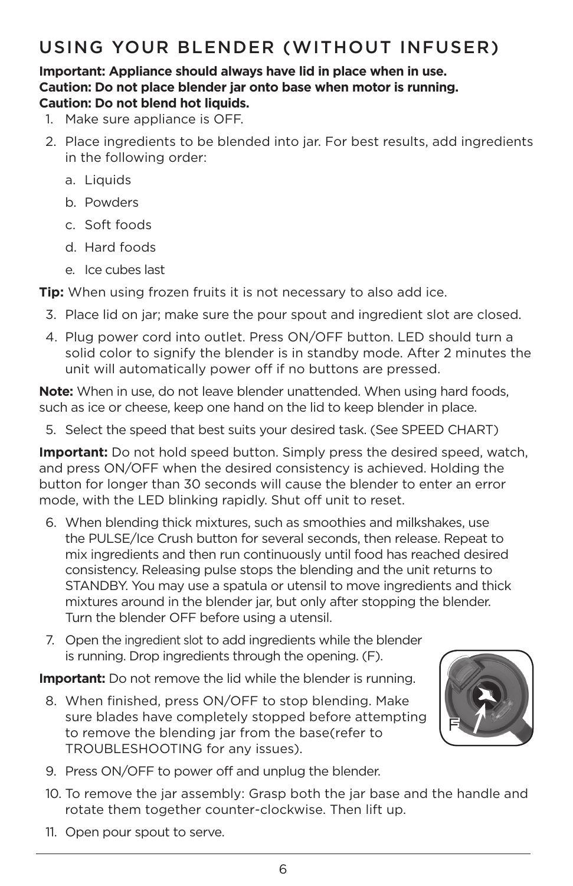## USING YOUR BLENDER (WITHOUT INFUSER)

#### **Important: Appliance should always have lid in place when in use. Caution: Do not place blender jar onto base when motor is running. Caution: Do not blend hot liquids.**

- 1. Make sure appliance is OFF.
- 2. Place ingredients to be blended into jar. For best results, add ingredients in the following order:
	- a. Liquids
	- b. Powders
	- c. Soft foods
	- d. Hard foods
	- e. Ice cubes last

**Tip:** When using frozen fruits it is not necessary to also add ice.

- 3. Place lid on jar; make sure the pour spout and ingredient slot are closed.
- 4. Plug power cord into outlet. Press ON/OFF button. LED should turn a solid color to signify the blender is in standby mode. After 2 minutes the unit will automatically power off if no buttons are pressed.

**Note:** When in use, do not leave blender unattended. When using hard foods, such as ice or cheese, keep one hand on the lid to keep blender in place.

5. Select the speed that best suits your desired task. (See SPEED CHART)

**Important:** Do not hold speed button. Simply press the desired speed, watch, and press ON/OFF when the desired consistency is achieved. Holding the button for longer than 30 seconds will cause the blender to enter an error mode, with the LED blinking rapidly. Shut off unit to reset.

- 6. When blending thick mixtures, such as smoothies and milkshakes, use the PULSE/Ice Crush button for several seconds, then release. Repeat to mix ingredients and then run continuously until food has reached desired consistency. Releasing pulse stops the blending and the unit returns to STANDBY. You may use a spatula or utensil to move ingredients and thick mixtures around in the blender jar, but only after stopping the blender. Turn the blender OFF before using a utensil.
- 7. Open the ingredient slot to add ingredients while the blender is running. Drop ingredients through the opening. (F).

**Important:** Do not remove the lid while the blender is running.

8. When finished, press ON/OFF to stop blending. Make sure blades have completely stopped before attempting to remove the blending jar from the base(refer to TROUBLESHOOTING for any issues).



- 9. Press ON/OFF to power off and unplug the blender.
- 10. To remove the jar assembly: Grasp both the jar base and the handle and rotate them together counter-clockwise. Then lift up.
- 11. Open pour spout to serve.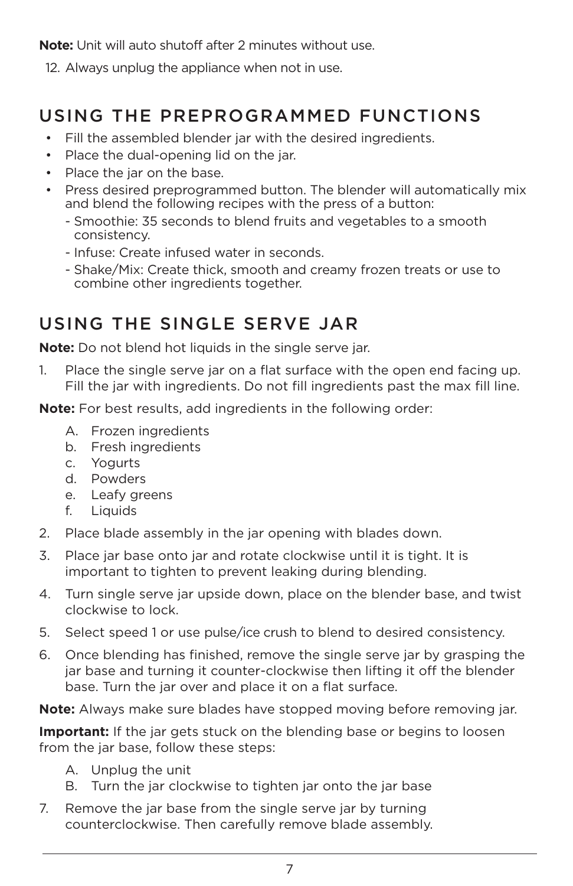**Note:** Unit will auto shutoff after 2 minutes without use.

12. Always unplug the appliance when not in use.

# USING THE PREPROGRAMMED FUNCTIONS

- Fill the assembled blender jar with the desired ingredients.
- Place the dual-opening lid on the jar.
- Place the jar on the base.
- Press desired preprogrammed button. The blender will automatically mix and blend the following recipes with the press of a button:
	- Smoothie: 35 seconds to blend fruits and vegetables to a smooth consistency.
	- Infuse: Create infused water in seconds.
	- Shake/Mix: Create thick, smooth and creamy frozen treats or use to combine other ingredients together.

## USING THE SINGLE SERVE JAR

**Note:** Do not blend hot liquids in the single serve jar.

1. Place the single serve jar on a flat surface with the open end facing up. Fill the jar with ingredients. Do not fill ingredients past the max fill line.

**Note:** For best results, add ingredients in the following order:

- A. Frozen ingredients
- b. Fresh ingredients
- c. Yogurts
- d. Powders
- e. Leafy greens
- f. Liquids
- 2. Place blade assembly in the jar opening with blades down.
- 3. Place jar base onto jar and rotate clockwise until it is tight. It is important to tighten to prevent leaking during blending.
- 4. Turn single serve jar upside down, place on the blender base, and twist clockwise to lock.
- 5. Select speed 1 or use pulse/ice crush to blend to desired consistency.
- 6. Once blending has finished, remove the single serve jar by grasping the jar base and turning it counter-clockwise then lifting it off the blender base. Turn the jar over and place it on a flat surface.

**Note:** Always make sure blades have stopped moving before removing jar.

**Important:** If the jar gets stuck on the blending base or begins to loosen from the jar base, follow these steps:

- A. Unplug the unit
- B. Turn the jar clockwise to tighten jar onto the jar base
- 7. Remove the jar base from the single serve jar by turning counterclockwise. Then carefully remove blade assembly.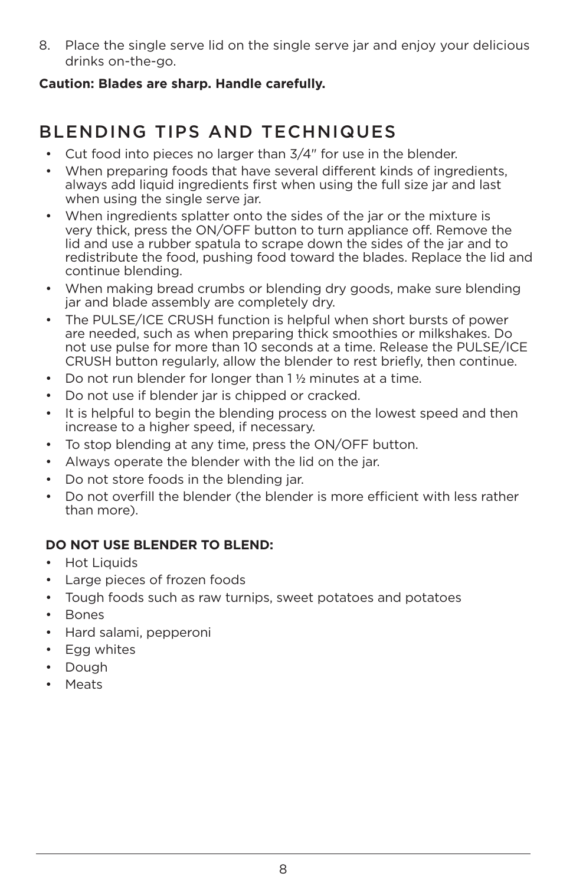8. Place the single serve lid on the single serve jar and enjoy your delicious drinks on-the-go.

## **Caution: Blades are sharp. Handle carefully.**

# BLENDING TIPS AND TECHNIQUES

- Cut food into pieces no larger than 3/4" for use in the blender.
- When preparing foods that have several different kinds of ingredients, always add liquid ingredients first when using the full size jar and last when using the single serve jar.
- When ingredients splatter onto the sides of the jar or the mixture is very thick, press the ON/OFF button to turn appliance off. Remove the lid and use a rubber spatula to scrape down the sides of the jar and to redistribute the food, pushing food toward the blades. Replace the lid and continue blending.
- When making bread crumbs or blending dry goods, make sure blending jar and blade assembly are completely dry.
- The PULSE/ICE CRUSH function is helpful when short bursts of power are needed, such as when preparing thick smoothies or milkshakes. Do not use pulse for more than 10 seconds at a time. Release the PULSE/ICE CRUSH button regularly, allow the blender to rest briefly, then continue.
- Do not run blender for longer than 1 ½ minutes at a time.
- Do not use if blender jar is chipped or cracked.
- It is helpful to begin the blending process on the lowest speed and then increase to a higher speed, if necessary.
- To stop blending at any time, press the ON/OFF button.
- Always operate the blender with the lid on the jar.
- Do not store foods in the blending jar.
- Do not overfill the blender (the blender is more efficient with less rather than more).

## **DO NOT USE BLENDER TO BLEND:**

- Hot Liquids
- Large pieces of frozen foods
- Tough foods such as raw turnips, sweet potatoes and potatoes
- Bones
- Hard salami, pepperoni
- Egg whites
- Dough
- Meats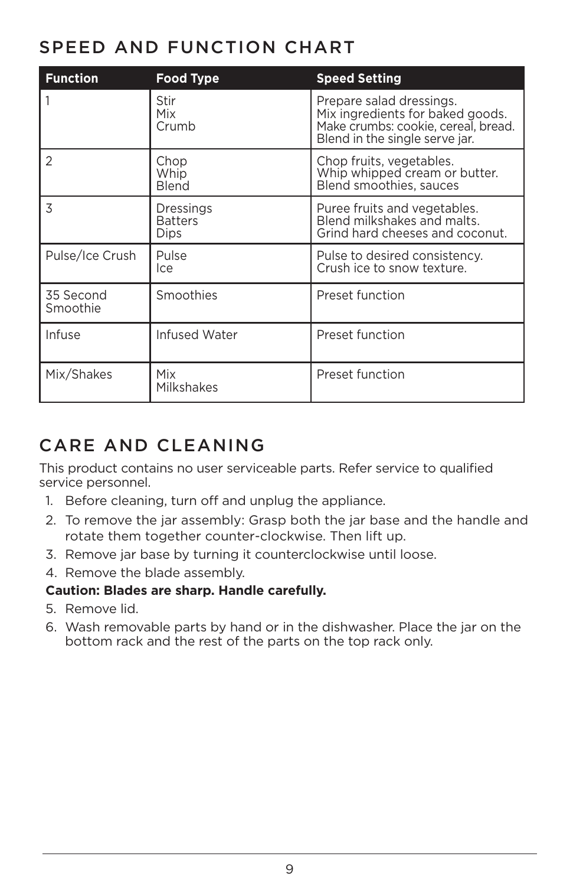## SPEED AND FUNCTION CHART

| <b>Function</b>       | Food Type                           | <b>Speed Setting</b>                                                                                                                  |
|-----------------------|-------------------------------------|---------------------------------------------------------------------------------------------------------------------------------------|
|                       | Stir<br>Mix<br>Crumb                | Prepare salad dressings.<br>Mix ingredients for baked goods.<br>Make crumbs: cookie, cereal, bread.<br>Blend in the single serve jar. |
| 2                     | Chop<br>Whip<br>Blend               | Chop fruits, vegetables.<br>Whip whipped cream or butter.<br>Blend smoothies, sauces                                                  |
| 3                     | Dressings<br><b>Batters</b><br>Dips | Puree fruits and vegetables.<br>Blend milkshakes and malts.<br>Grind hard cheeses and coconut.                                        |
| Pulse/Ice Crush       | Pulse<br>lce                        | Pulse to desired consistency.<br>Crush ice to snow texture.                                                                           |
| 35 Second<br>Smoothie | Smoothies                           | Preset function                                                                                                                       |
| Infuse                | Infused Water                       | Preset function                                                                                                                       |
| Mix/Shakes            | Mix<br>Milkshakes                   | Preset function                                                                                                                       |

# CARE AND CLEANING

This product contains no user serviceable parts. Refer service to qualified service personnel.

- 1. Before cleaning, turn off and unplug the appliance.
- 2. To remove the jar assembly: Grasp both the jar base and the handle and rotate them together counter-clockwise. Then lift up.
- 3. Remove jar base by turning it counterclockwise until loose.
- 4. Remove the blade assembly.

## **Caution: Blades are sharp. Handle carefully.**

- 5. Remove lid.
- 6. Wash removable parts by hand or in the dishwasher. Place the jar on the bottom rack and the rest of the parts on the top rack only.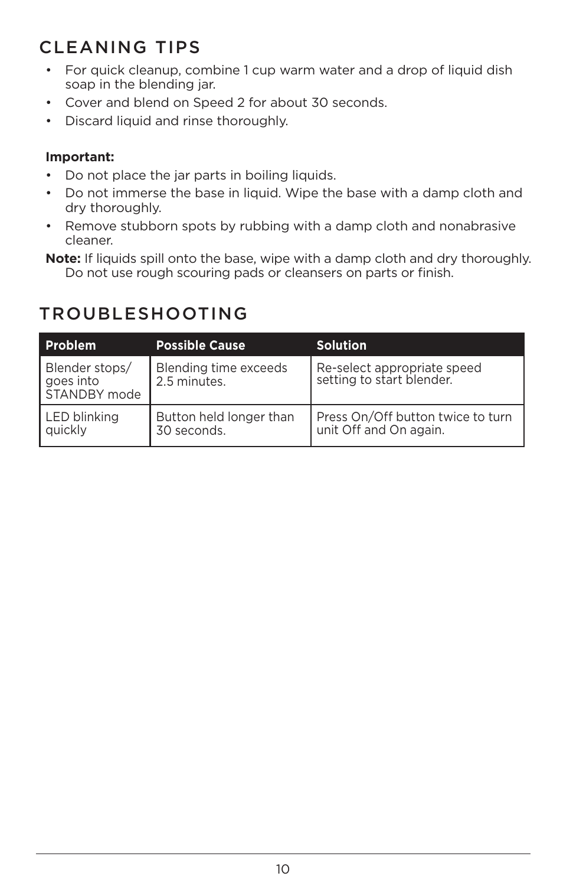# CLEANING TIPS

- For quick cleanup, combine 1 cup warm water and a drop of liquid dish soap in the blending jar.
- Cover and blend on Speed 2 for about 30 seconds.
- Discard liquid and rinse thoroughly.

## **Important:**

- Do not place the jar parts in boiling liquids.
- Do not immerse the base in liquid. Wipe the base with a damp cloth and dry thoroughly.
- Remove stubborn spots by rubbing with a damp cloth and nonabrasive cleaner.
- **Note:** If liquids spill onto the base, wipe with a damp cloth and dry thoroughly. Do not use rough scouring pads or cleansers on parts or finish.

## TROUBLESHOOTING

| <b>Problem</b>                              | <b>Possible Cause</b>                  | <b>Solution</b>                                             |
|---------------------------------------------|----------------------------------------|-------------------------------------------------------------|
| Blender stops/<br>goes into<br>STANDBY mode | Blending time exceeds<br>2.5 minutes.  | Re-select appropriate speed<br>setting to start blender.    |
| LED blinking<br>quickly                     | Button held longer than<br>30 seconds. | Press On/Off button twice to turn<br>unit Off and On again. |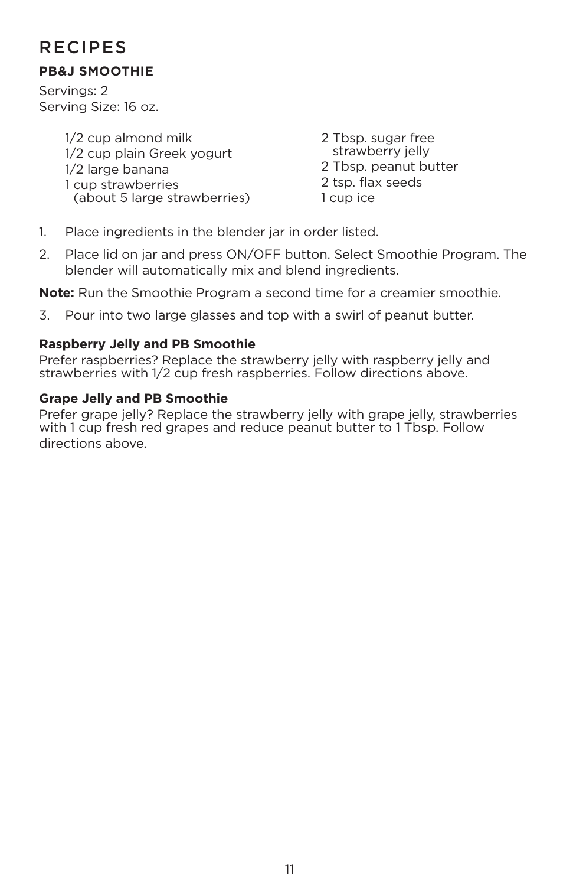## RECIPES

## **PB&J SMOOTHIE**

Servings: 2 Serving Size: 16 oz.

> 1/2 cup almond milk 1/2 cup plain Greek yogurt 1/2 large banana 1 cup strawberries (about 5 large strawberries)

2 Tbsp. sugar free strawberry jelly 2 Tbsp. peanut butter 2 tsp. flax seeds 1 cup ice

- 1. Place ingredients in the blender jar in order listed.
- 2. Place lid on jar and press ON/OFF button. Select Smoothie Program. The blender will automatically mix and blend ingredients.

**Note:** Run the Smoothie Program a second time for a creamier smoothie.

3. Pour into two large glasses and top with a swirl of peanut butter.

## **Raspberry Jelly and PB Smoothie**

Prefer raspberries? Replace the strawberry jelly with raspberry jelly and strawberries with 1/2 cup fresh raspberries. Follow directions above.

## **Grape Jelly and PB Smoothie**

Prefer grape jelly? Replace the strawberry jelly with grape jelly, strawberries with 1 cup fresh red grapes and reduce peanut butter to 1 Tbsp. Follow directions above.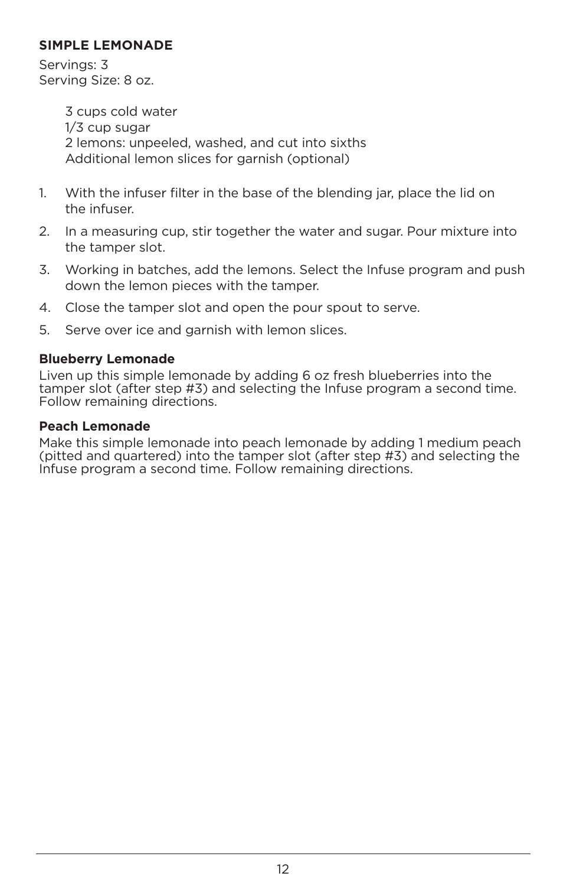## **SIMPLE LEMONADE**

Servings: 3 Serving Size: 8 oz.

> 3 cups cold water 1/3 cup sugar 2 lemons: unpeeled, washed, and cut into sixths Additional lemon slices for garnish (optional)

- 1. With the infuser filter in the base of the blending jar, place the lid on the infuser.
- 2. In a measuring cup, stir together the water and sugar. Pour mixture into the tamper slot.
- 3. Working in batches, add the lemons. Select the Infuse program and push down the lemon pieces with the tamper.
- 4. Close the tamper slot and open the pour spout to serve.
- 5. Serve over ice and garnish with lemon slices.

## **Blueberry Lemonade**

Liven up this simple lemonade by adding 6 oz fresh blueberries into the tamper slot (after step #3) and selecting the Infuse program a second time. Follow remaining directions.

#### **Peach Lemonade**

Make this simple lemonade into peach lemonade by adding 1 medium peach (pitted and quartered) into the tamper slot (after step #3) and selecting the Infuse program a second time. Follow remaining directions.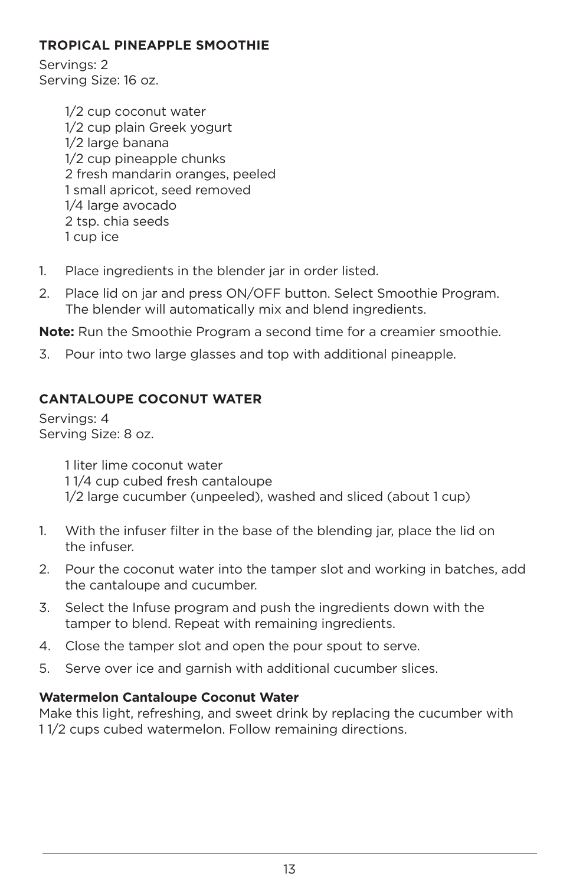## **TROPICAL PINEAPPLE SMOOTHIE**

Servings: 2 Serving Size: 16 oz.

> 1/2 cup coconut water 1/2 cup plain Greek yogurt 1/2 large banana 1/2 cup pineapple chunks 2 fresh mandarin oranges, peeled 1 small apricot, seed removed 1/4 large avocado 2 tsp. chia seeds 1 cup ice

- 1. Place ingredients in the blender jar in order listed.
- 2. Place lid on jar and press ON/OFF button. Select Smoothie Program. The blender will automatically mix and blend ingredients.

**Note:** Run the Smoothie Program a second time for a creamier smoothie.

3. Pour into two large glasses and top with additional pineapple.

## **CANTALOUPE COCONUT WATER**

Servings: 4 Serving Size: 8 oz.

> 1 liter lime coconut water 1 1/4 cup cubed fresh cantaloupe 1/2 large cucumber (unpeeled), washed and sliced (about 1 cup)

- 1. With the infuser filter in the base of the blending jar, place the lid on the infuser.
- 2. Pour the coconut water into the tamper slot and working in batches, add the cantaloupe and cucumber.
- 3. Select the Infuse program and push the ingredients down with the tamper to blend. Repeat with remaining ingredients.
- 4. Close the tamper slot and open the pour spout to serve.
- 5. Serve over ice and garnish with additional cucumber slices.

#### **Watermelon Cantaloupe Coconut Water**

Make this light, refreshing, and sweet drink by replacing the cucumber with 1 1/2 cups cubed watermelon. Follow remaining directions.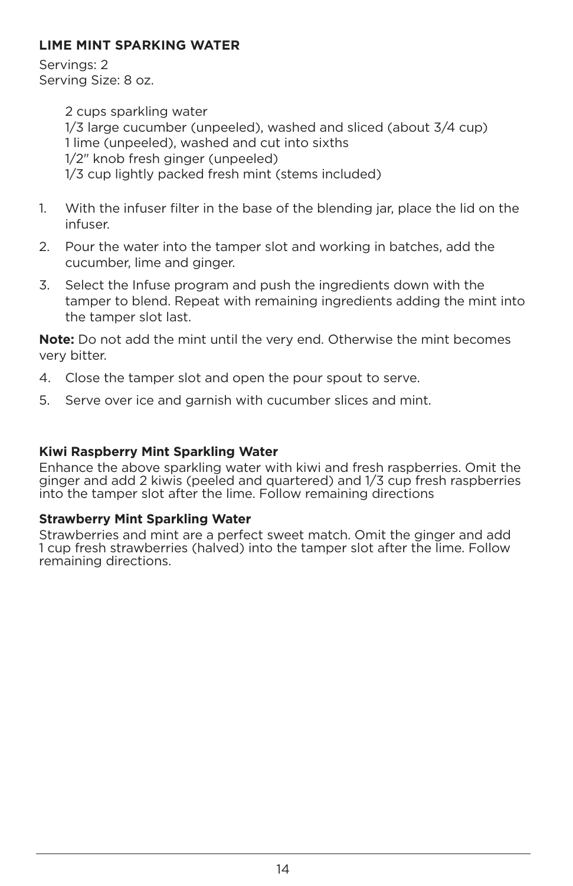## **LIME MINT SPARKING WATER**

Servings: 2 Serving Size: 8 oz.

> 2 cups sparkling water 1/3 large cucumber (unpeeled), washed and sliced (about 3/4 cup) 1 lime (unpeeled), washed and cut into sixths 1/2" knob fresh ginger (unpeeled) 1/3 cup lightly packed fresh mint (stems included)

- 1. With the infuser filter in the base of the blending jar, place the lid on the infuser.
- 2. Pour the water into the tamper slot and working in batches, add the cucumber, lime and ginger.
- 3. Select the Infuse program and push the ingredients down with the tamper to blend. Repeat with remaining ingredients adding the mint into the tamper slot last.

**Note:** Do not add the mint until the very end. Otherwise the mint becomes very bitter.

- 4. Close the tamper slot and open the pour spout to serve.
- 5. Serve over ice and garnish with cucumber slices and mint.

## **Kiwi Raspberry Mint Sparkling Water**

Enhance the above sparkling water with kiwi and fresh raspberries. Omit the ginger and add 2 kiwis (peeled and quartered) and 1/3 cup fresh raspberries into the tamper slot after the lime. Follow remaining directions

## **Strawberry Mint Sparkling Water**

Strawberries and mint are a perfect sweet match. Omit the ginger and add 1 cup fresh strawberries (halved) into the tamper slot after the lime. Follow remaining directions.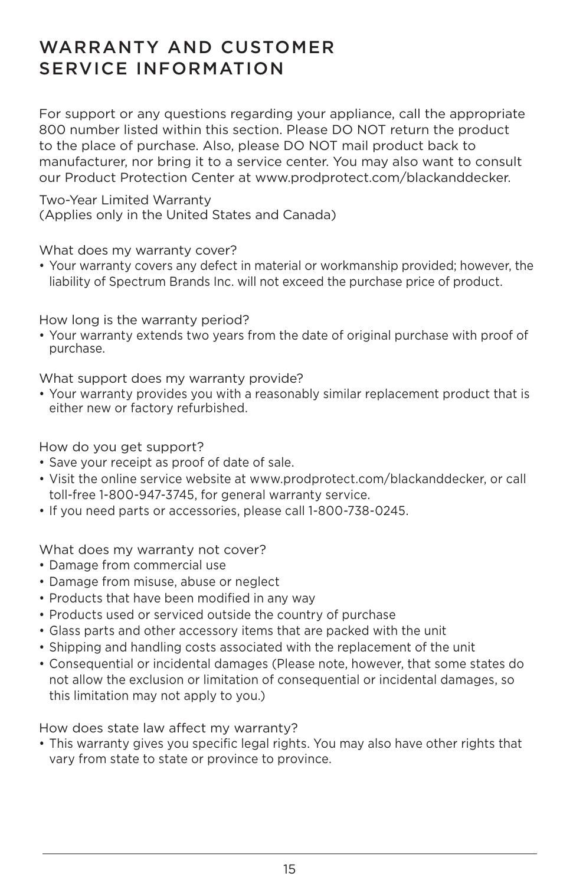## WARRANTY AND CUSTOMER SERVICE INFORMATION

For support or any questions regarding your appliance, call the appropriate 800 number listed within this section. Please DO NOT return the product to the place of purchase. Also, please DO NOT mail product back to manufacturer, nor bring it to a service center. You may also want to consult our Product Protection Center at www.prodprotect.com/blackanddecker.

Two-Year Limited Warranty (Applies only in the United States and Canada)

What does my warranty cover?

• Your warranty covers any defect in material or workmanship provided; however, the liability of Spectrum Brands Inc. will not exceed the purchase price of product.

How long is the warranty period?

• Your warranty extends two years from the date of original purchase with proof of purchase.

What support does my warranty provide?

• Your warranty provides you with a reasonably similar replacement product that is either new or factory refurbished.

How do you get support?

- Save your receipt as proof of date of sale.
- Visit the online service website at www.prodprotect.com/blackanddecker, or call toll-free 1-800-947-3745, for general warranty service.
- If you need parts or accessories, please call 1-800-738-0245.

What does my warranty not cover?

- Damage from commercial use
- Damage from misuse, abuse or neglect
- Products that have been modified in any way
- Products used or serviced outside the country of purchase
- Glass parts and other accessory items that are packed with the unit
- Shipping and handling costs associated with the replacement of the unit
- Consequential or incidental damages (Please note, however, that some states do not allow the exclusion or limitation of consequential or incidental damages, so this limitation may not apply to you.)

How does state law affect my warranty?

• This warranty gives you specific legal rights. You may also have other rights that vary from state to state or province to province.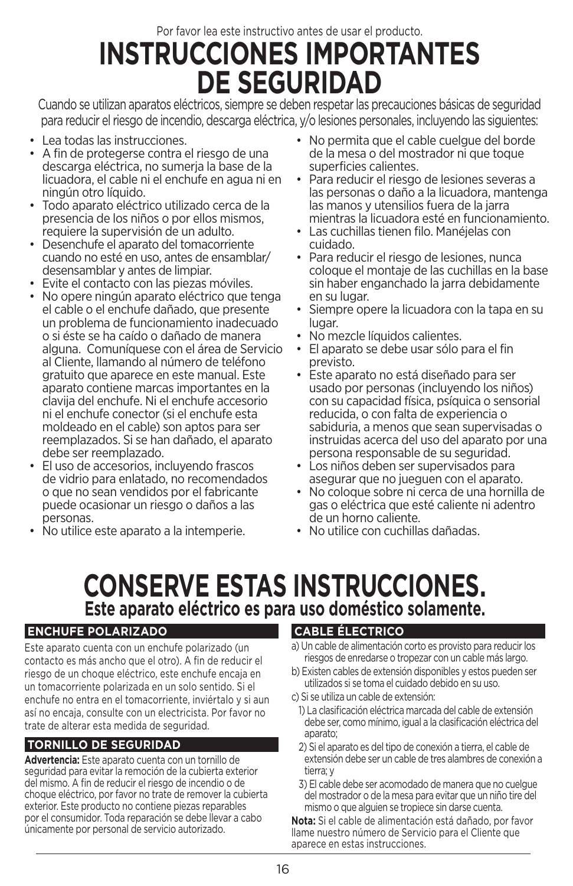# Por favor lea este instructivo antes de usar el producto. **INSTRUCCIONES IMPORTANTES DE SEGURIDAD**

Cuando se utilizan aparatos eléctricos, siempre se deben respetar las precauciones básicas de seguridad para reducir el riesgo de incendio, descarga eléctrica, y/o lesiones personales, incluyendo las siguientes:

- Lea todas las instrucciones.
- A fin de protegerse contra el riesgo de una descarga eléctrica, no sumerja la base de la licuadora, el cable ni el enchufe en agua ni en ningún otro líquido.
- Todo aparato eléctrico utilizado cerca de la presencia de los niños o por ellos mismos, requiere la supervisión de un adulto.
- Desenchufe el aparato del tomacorriente cuando no esté en uso, antes de ensamblar/ desensamblar y antes de limpiar.
- Evite el contacto con las piezas móviles.
- No opere ningún aparato eléctrico que tenga el cable o el enchufe dañado, que presente un problema de funcionamiento inadecuado o si éste se ha caído o dañado de manera alguna. Comuníquese con el área de Servicio al Cliente, llamando al número de teléfono gratuito que aparece en este manual. Este aparato contiene marcas importantes en la clavija del enchufe. Ni el enchufe accesorio ni el enchufe conector (si el enchufe esta moldeado en el cable) son aptos para ser reemplazados. Si se han dañado, el aparato
- El uso de accesorios, incluyendo frascos de vidrio para enlatado, no recomendados o que no sean vendidos por el fabricante puede ocasionar un riesgo o daños a las
- No utilice este aparato a la intemperie.
- No permita que el cable cuelgue del borde de la mesa o del mostrador ni que toque superficies calientes.
- Para reducir el riesgo de lesiones severas a las personas o daño a la licuadora, mantenga las manos y utensilios fuera de la jarra mientras la licuadora esté en funcionamiento.
- Las cuchillas tienen filo. Manéjelas con cuidado.
- Para reducir el riesgo de lesiones, nunca coloque el montaje de las cuchillas en la base sin haber enganchado la jarra debidamente en su lugar.
- Siempre opere la licuadora con la tapa en su lugar.
- No mezcle líquidos calientes.
- El aparato se debe usar sólo para el fin previsto.
- Este aparato no está diseñado para ser usado por personas (incluyendo los niños) con su capacidad física, psíquica o sensorial reducida, o con falta de experiencia o sabiduria, a menos que sean supervisadas o instruidas acerca del uso del aparato por una
- persona responsable de su seguridad. Los niños deben ser supervisados para
- No coloque sobre ni cerca de una hornilla de gas o eléctrica que esté caliente ni adentro<br>de un borno caliente
- No utilice con cuchillas dañadas.

# **CONSERVE ESTAS INSTRUCCIONES. Este aparato eléctrico es para uso doméstico solamente.**

## **ENCHUFE POLARIZADO**

Este aparato cuenta con un enchufe polarizado (un contacto es más ancho que el otro). A fin de reducir el riesgo de un choque eléctrico, este enchufe encaja en un tomacorriente polarizada en un solo sentido. Si el enchufe no entra en el tomacorriente, inviértalo y si aun así no encaja, consulte con un electricista. Por favor no trate de alterar esta medida de seguridad.

## **TORNILLO DE SEGURIDAD**

**Advertencia:** Este aparato cuenta con un tornillo de seguridad para evitar la remoción de la cubierta exterior del mismo. A fin de reducir el riesgo de incendio o de choque eléctrico, por favor no trate de remover la cubierta exterior. Este producto no contiene piezas reparables por el consumidor. Toda reparación se debe llevar a cabo únicamente por personal de servicio autorizado.

## **CABLE ÉLECTRICO**

- a) Un cable de alimentación corto es provisto para reducir los riesgos de enredarse o tropezar con un cable más largo.
- b) Existen cables de extensión disponibles y estos pueden ser utilizados si se toma el cuidado debido en su uso.
- c) Si se utiliza un cable de extensión:
- 1) La clasificación eléctrica marcada del cable de extensión debe ser, como mínimo, igual a la clasificación eléctrica del aparato;
- 2) Si el aparato es del tipo de conexión a tierra, el cable de extensión debe ser un cable de tres alambres de conexión a tierra; y
- 3) El cable debe ser acomodado de manera que no cuelgue del mostrador o de la mesa para evitar que un niño tire del mismo o que alguien se tropiece sin darse cuenta.

**Nota:** Si el cable de alimentación está dañado, por favor llame nuestro número de Servicio para el Cliente que aparece en estas instrucciones.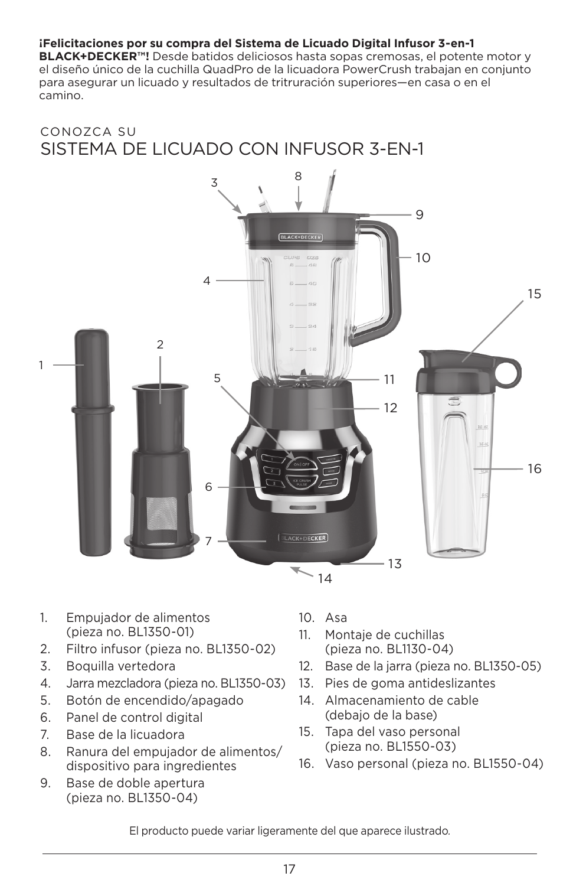#### **¡Felicitaciones por su compra del Sistema de Licuado Digital Infusor 3-en-1**

**BLACK+DECKER™!** Desde batidos deliciosos hasta sopas cremosas, el potente motor y el diseño único de la cuchilla QuadPro de la licuadora PowerCrush trabajan en conjunto para asegurar un licuado y resultados de tritruración superiores—en casa o en el camino.

## CONOZCA SU SISTEMA DE LICUADO CON INFUSOR 3-EN-1



- 1. Empujador de alimentos (pieza no. BL1350-01)
- 2. Filtro infusor (pieza no. BL1350-02)
- 3. Boquilla vertedora
- 4. Jarra mezcladora (pieza no. BL1350-03)
- 5. Botón de encendido/apagado
- 6. Panel de control digital
- 7. Base de la licuadora
- 8. Ranura del empujador de alimentos/ dispositivo para ingredientes
- 9. Base de doble apertura (pieza no. BL1350-04)
- 10. Asa
- 11. Montaje de cuchillas (pieza no. BL1130-04)
- 12. Base de la jarra (pieza no. BL1350-05)
- 13. Pies de goma antideslizantes
- 14. Almacenamiento de cable (debajo de la base)
- 15. Tapa del vaso personal (pieza no. BL1550-03)
- 16. Vaso personal (pieza no. BL1550-04)

El producto puede variar ligeramente del que aparece ilustrado*.*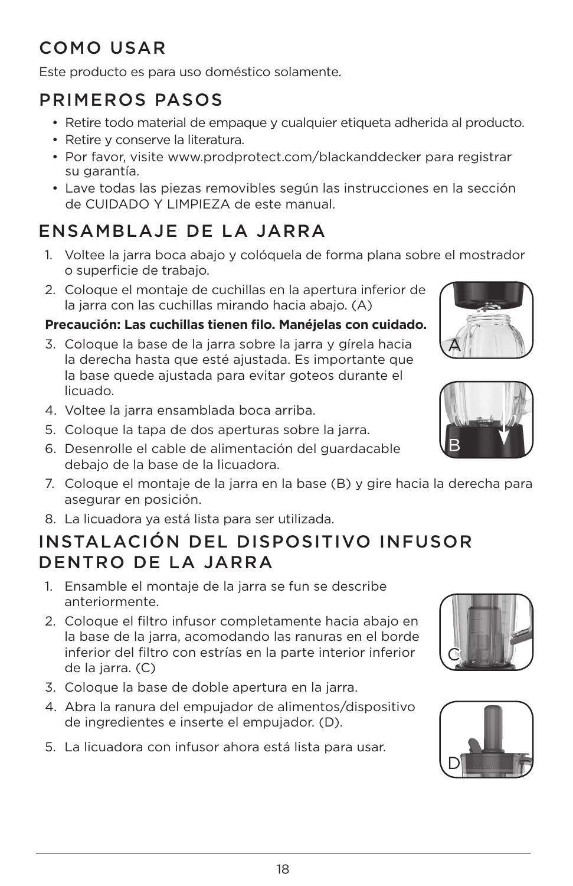# COMO USAR

Este producto es para uso doméstico solamente.

# PRIMEROS PASOS

- Retire todo material de empaque y cualquier etiqueta adherida al producto.
- Retire y conserve la literatura.
- Por favor, visite www.prodprotect.com/blackanddecker para registrar su garantía.
- Lave todas las piezas removibles según las instrucciones en la sección de CUIDADO Y LIMPIEZA de este manual.

# ENSAMBLAJE DE LA JARRA

- 1. Voltee la jarra boca abajo y colóquela de forma plana sobre el mostrador o superficie de trabajo.
- 2. Coloque el montaje de cuchillas en la apertura inferior de la jarra con las cuchillas mirando hacia abajo. (A)

## **Precaución: Las cuchillas tienen filo. Manéjelas con cuidado.**

- 3. Coloque la base de la jarra sobre la jarra y gírela hacia la derecha hasta que esté ajustada. Es importante que la base quede ajustada para evitar goteos durante el licuado.
- 4. Voltee la jarra ensamblada boca arriba.
- 5. Coloque la tapa de dos aperturas sobre la jarra.
- 6. Desenrolle el cable de alimentación del guardacable debajo de la base de la licuadora.
- 7. Coloque el montaje de la jarra en la base (B) y gire hacia la derecha para asegurar en posición.
- 8. La licuadora ya está lista para ser utilizada.

## INSTALACIÓN DEL DISPOSITIVO INFUSOR DENTRO DE LA JARRA

- 1. Ensamble el montaje de la jarra se fun se describe anteriormente.
- 2. Coloque el filtro infusor completamente hacia abajo en la base de la jarra, acomodando las ranuras en el borde inferior del filtro con estrías en la parte interior inferior de la jarra. (C)
- 3. Coloque la base de doble apertura en la jarra.
- 4. Abra la ranura del empujador de alimentos/dispositivo de ingredientes e inserte el empujador. (D).
- 5. La licuadora con infusor ahora está lista para usar.







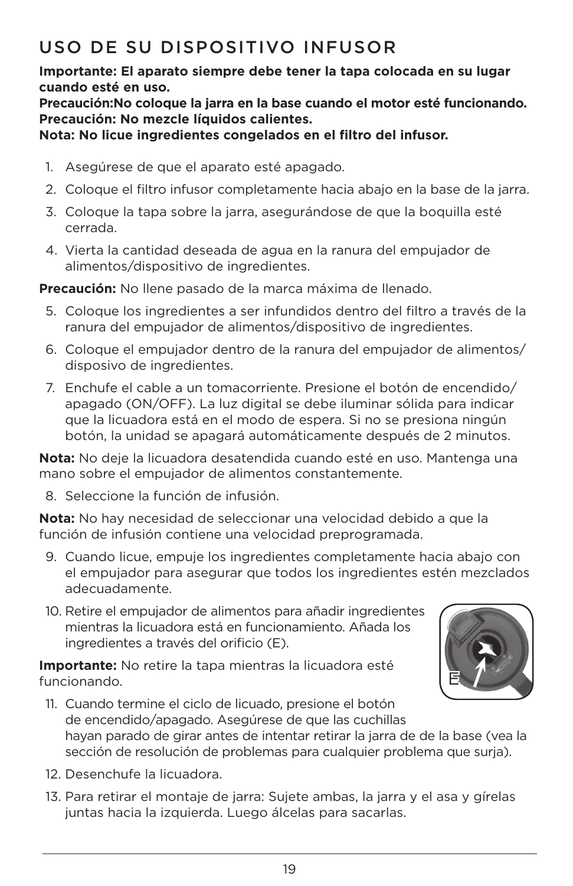# USO DE SU DISPOSITIVO INFUSOR

## **Importante: El aparato siempre debe tener la tapa colocada en su lugar cuando esté en uso.**

## **Precaución:No coloque la jarra en la base cuando el motor esté funcionando. Precaución: No mezcle líquidos calientes.**

## **Nota: No licue ingredientes congelados en el filtro del infusor.**

- 1. Asegúrese de que el aparato esté apagado.
- 2. Coloque el filtro infusor completamente hacia abajo en la base de la jarra.
- 3. Coloque la tapa sobre la jarra, asegurándose de que la boquilla esté cerrada.
- 4. Vierta la cantidad deseada de agua en la ranura del empujador de alimentos/dispositivo de ingredientes.

**Precaución:** No llene pasado de la marca máxima de llenado.

- 5. Coloque los ingredientes a ser infundidos dentro del filtro a través de la ranura del empujador de alimentos/dispositivo de ingredientes.
- 6. Coloque el empujador dentro de la ranura del empujador de alimentos/ disposivo de ingredientes.
- 7. Enchufe el cable a un tomacorriente. Presione el botón de encendido/ apagado (ON/OFF). La luz digital se debe iluminar sólida para indicar que la licuadora está en el modo de espera. Si no se presiona ningún botón, la unidad se apagará automáticamente después de 2 minutos.

**Nota:** No deje la licuadora desatendida cuando esté en uso. Mantenga una mano sobre el empujador de alimentos constantemente.

8. Seleccione la función de infusión.

**Nota:** No hay necesidad de seleccionar una velocidad debido a que la función de infusión contiene una velocidad preprogramada.

- 9. Cuando licue, empuje los ingredientes completamente hacia abajo con el empujador para asegurar que todos los ingredientes estén mezclados adecuadamente.
- 10. Retire el empujador de alimentos para añadir ingredientes mientras la licuadora está en funcionamiento. Añada los ingredientes a través del orificio (E).

**Importante:** No retire la tapa mientras la licuadora esté funcionando.



- 11. Cuando termine el ciclo de licuado, presione el botón de encendido/apagado. Asegúrese de que las cuchillas hayan parado de girar antes de intentar retirar la jarra de de la base (vea la sección de resolución de problemas para cualquier problema que surja).
- 12. Desenchufe la licuadora.
- 13. Para retirar el montaje de jarra: Sujete ambas, la jarra y el asa y gírelas juntas hacia la izquierda. Luego álcelas para sacarlas.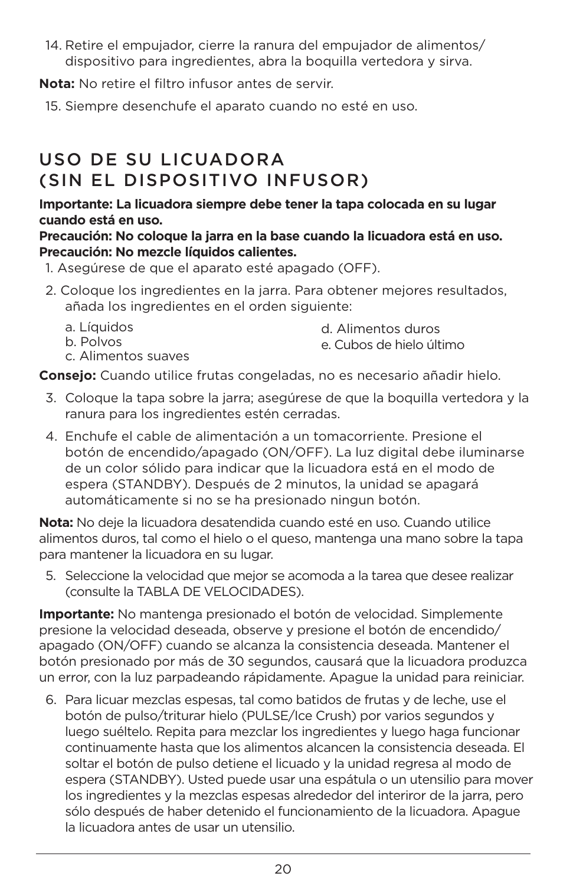14. Retire el empujador, cierre la ranura del empujador de alimentos/ dispositivo para ingredientes, abra la boquilla vertedora y sirva.

**Nota:** No retire el filtro infusor antes de servir.

15. Siempre desenchufe el aparato cuando no esté en uso.

# USO DE SU LICUADORA (SIN EL DISPOSITIVO INFUSOR)

#### **Importante: La licuadora siempre debe tener la tapa colocada en su lugar cuando está en uso.**

**Precaución: No coloque la jarra en la base cuando la licuadora está en uso. Precaución: No mezcle líquidos calientes.** 

- 1. Asegúrese de que el aparato esté apagado (OFF).
- 2. Coloque los ingredientes en la jarra. Para obtener mejores resultados, añada los ingredientes en el orden siguiente:
	- a. Líquidos b. Polvos c. Alimentos suaves d. Alimentos duros e. Cubos de hielo último

**Consejo:** Cuando utilice frutas congeladas, no es necesario añadir hielo.

- 3. Coloque la tapa sobre la jarra; asegúrese de que la boquilla vertedora y la ranura para los ingredientes estén cerradas.
- 4. Enchufe el cable de alimentación a un tomacorriente. Presione el botón de encendido/apagado (ON/OFF). La luz digital debe iluminarse de un color sólido para indicar que la licuadora está en el modo de espera (STANDBY). Después de 2 minutos, la unidad se apagará automáticamente si no se ha presionado ningun botón.

**Nota:** No deje la licuadora desatendida cuando esté en uso. Cuando utilice alimentos duros, tal como el hielo o el queso, mantenga una mano sobre la tapa para mantener la licuadora en su lugar.

5. Seleccione la velocidad que mejor se acomoda a la tarea que desee realizar (consulte la TABLA DE VELOCIDADES).

**Importante:** No mantenga presionado el botón de velocidad. Simplemente presione la velocidad deseada, observe y presione el botón de encendido/ apagado (ON/OFF) cuando se alcanza la consistencia deseada. Mantener el botón presionado por más de 30 segundos, causará que la licuadora produzca un error, con la luz parpadeando rápidamente. Apague la unidad para reiniciar.

6. Para licuar mezclas espesas, tal como batidos de frutas y de leche, use el botón de pulso/triturar hielo (PULSE/Ice Crush) por varios segundos y luego suéltelo. Repita para mezclar los ingredientes y luego haga funcionar continuamente hasta que los alimentos alcancen la consistencia deseada. El soltar el botón de pulso detiene el licuado y la unidad regresa al modo de espera (STANDBY). Usted puede usar una espátula o un utensilio para mover los ingredientes y la mezclas espesas alrededor del interiror de la jarra, pero sólo después de haber detenido el funcionamiento de la licuadora. Apague la licuadora antes de usar un utensilio.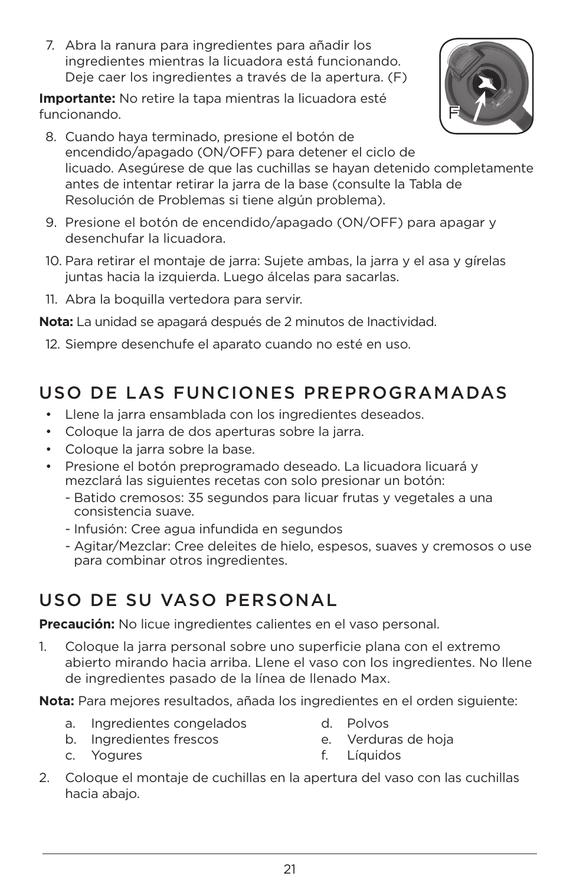7. Abra la ranura para ingredientes para añadir los ingredientes mientras la licuadora está funcionando. Deje caer los ingredientes a través de la apertura. (F)

**Importante:** No retire la tapa mientras la licuadora esté funcionando.



- 8. Cuando haya terminado, presione el botón de encendido/apagado (ON/OFF) para detener el ciclo de licuado. Asegúrese de que las cuchillas se hayan detenido completamente antes de intentar retirar la jarra de la base (consulte la Tabla de Resolución de Problemas si tiene algún problema).
- 9. Presione el botón de encendido/apagado (ON/OFF) para apagar y desenchufar la licuadora.
- 10. Para retirar el montaje de jarra: Sujete ambas, la jarra y el asa y gírelas juntas hacia la izquierda. Luego álcelas para sacarlas.
- 11. Abra la boquilla vertedora para servir.

**Nota:** La unidad se apagará después de 2 minutos de Inactividad.

12. Siempre desenchufe el aparato cuando no esté en uso.

# USO DE LAS FUNCIONES PREPROGRAMADAS

- Llene la jarra ensamblada con los ingredientes deseados.
- Coloque la jarra de dos aperturas sobre la jarra.
- Coloque la jarra sobre la base.
- Presione el botón preprogramado deseado. La licuadora licuará y mezclará las siguientes recetas con solo presionar un botón:
	- Batido cremosos: 35 segundos para licuar frutas y vegetales a una consistencia suave.
	- Infusión: Cree agua infundida en segundos
	- Agitar/Mezclar: Cree deleites de hielo, espesos, suaves y cremosos o use para combinar otros ingredientes.

# USO DE SU VASO PERSONAL

**Precaución:** No licue ingredientes calientes en el vaso personal.

1. Coloque la jarra personal sobre uno superficie plana con el extremo abierto mirando hacia arriba. Llene el vaso con los ingredientes. No llene de ingredientes pasado de la línea de llenado Max.

**Nota:** Para mejores resultados, añada los ingredientes en el orden siguiente:

- a. Ingredientes congelados
- d. Polvos

b. Ingredientes frescos

e. Verduras de hoja

c. Yogures

- f. Líquidos
- 2. Coloque el montaje de cuchillas en la apertura del vaso con las cuchillas hacia abajo.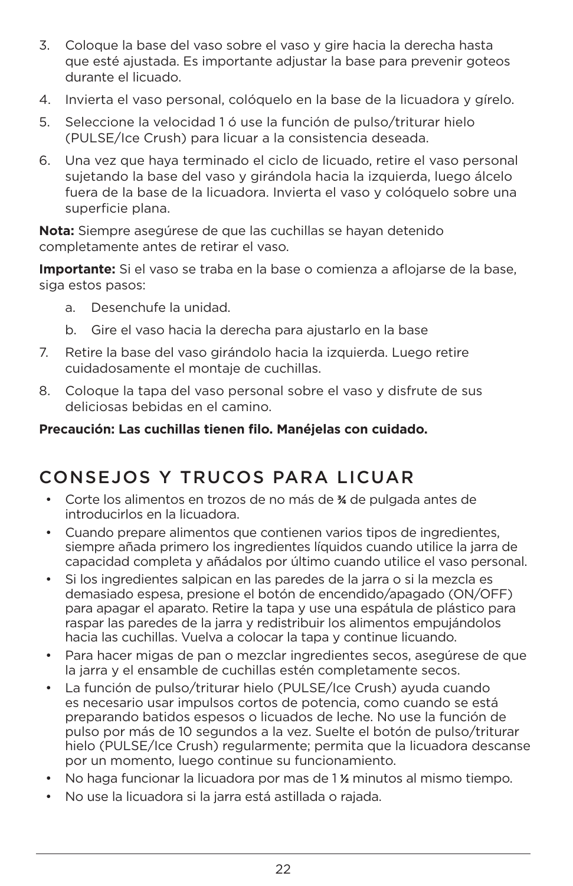- 3. Coloque la base del vaso sobre el vaso y gire hacia la derecha hasta que esté ajustada. Es importante adjustar la base para prevenir goteos durante el licuado.
- 4. Invierta el vaso personal, colóquelo en la base de la licuadora y gírelo.
- 5. Seleccione la velocidad 1 ó use la función de pulso/triturar hielo (PULSE/Ice Crush) para licuar a la consistencia deseada.
- 6. Una vez que haya terminado el ciclo de licuado, retire el vaso personal sujetando la base del vaso y girándola hacia la izquierda, luego álcelo fuera de la base de la licuadora. Invierta el vaso y colóquelo sobre una superficie plana.

**Nota:** Siempre asegúrese de que las cuchillas se hayan detenido completamente antes de retirar el vaso.

**Importante:** Si el vaso se traba en la base o comienza a aflojarse de la base, siga estos pasos:

- a. Desenchufe la unidad.
- b. Gire el vaso hacia la derecha para ajustarlo en la base
- 7. Retire la base del vaso girándolo hacia la izquierda. Luego retire cuidadosamente el montaje de cuchillas.
- 8. Coloque la tapa del vaso personal sobre el vaso y disfrute de sus deliciosas bebidas en el camino.

## **Precaución: Las cuchillas tienen filo. Manéjelas con cuidado.**

## CONSEJOS Y TRUCOS PARA LICUAR

- Corte los alimentos en trozos de no más de **¾** de pulgada antes de introducirlos en la licuadora.
- Cuando prepare alimentos que contienen varios tipos de ingredientes, siempre añada primero los ingredientes líquidos cuando utilice la jarra de capacidad completa y añádalos por último cuando utilice el vaso personal.
- Si los ingredientes salpican en las paredes de la jarra o si la mezcla es demasiado espesa, presione el botón de encendido/apagado (ON/OFF) para apagar el aparato. Retire la tapa y use una espátula de plástico para raspar las paredes de la jarra y redistribuir los alimentos empujándolos hacia las cuchillas. Vuelva a colocar la tapa y continue licuando.
- Para hacer migas de pan o mezclar ingredientes secos, asegúrese de que la jarra y el ensamble de cuchillas estén completamente secos.
- La función de pulso/triturar hielo (PULSE/Ice Crush) ayuda cuando es necesario usar impulsos cortos de potencia, como cuando se está preparando batidos espesos o licuados de leche. No use la función de pulso por más de 10 segundos a la vez. Suelte el botón de pulso/triturar hielo (PULSE/Ice Crush) regularmente; permita que la licuadora descanse por un momento, luego continue su funcionamiento.
- No haga funcionar la licuadora por mas de 1 **½** minutos al mismo tiempo.
- No use la licuadora si la jarra está astillada o rajada.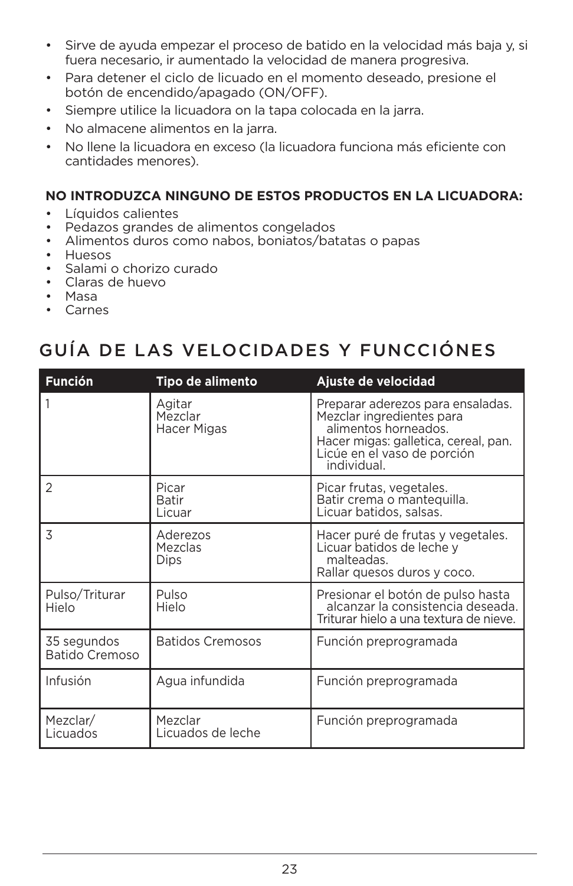- Sirve de ayuda empezar el proceso de batido en la velocidad más baja y, si fuera necesario, ir aumentado la velocidad de manera progresiva.
- Para detener el ciclo de licuado en el momento deseado, presione el botón de encendido/apagado (ON/OFF).
- Siempre utilice la licuadora on la tapa colocada en la jarra.
- No almacene alimentos en la jarra.
- No llene la licuadora en exceso (la licuadora funciona más eficiente con cantidades menores).

## **NO INTRODUZCA NINGUNO DE ESTOS PRODUCTOS EN LA LICUADORA:**

- Líquidos calientes
- Pedazos grandes de alimentos congelados
- Alimentos duros como nabos, boniatos/batatas o papas
- Huesos
- Salami o chorizo curado
- Claras de huevo
- Masa
- Carnes

## GUÍA DE LAS VELOCIDADES Y FUNCCIÓNES

| <b>Función</b>                | Tipo de alimento                        | Ajuste de velocidad                                                                                                                                                          |
|-------------------------------|-----------------------------------------|------------------------------------------------------------------------------------------------------------------------------------------------------------------------------|
| 1                             | Agitar<br>Mezclar<br><b>Hacer Migas</b> | Preparar aderezos para ensaladas.<br>Mezclar ingredientes para<br>alimentos horneados.<br>Hacer migas: galletica, cereal, pan.<br>Licúe en el vaso de porción<br>individual. |
| $\overline{2}$                | Picar<br>Batir<br>Licuar                | Picar frutas, vegetales.<br>Batir crema o mantequilla.<br>Licuar batidos, salsas.                                                                                            |
| 3                             | Aderezos<br>Mezclas<br><b>Dips</b>      | Hacer puré de frutas y vegetales.<br>Licuar batidos de leche y<br>malteadas.<br>Rallar quesos duros y coco.                                                                  |
| Pulso/Triturar<br>Hielo       | Pulso<br>Hielo                          | Presionar el botón de pulso hasta<br>alcanzar la consistencia deseada.<br>Triturar hielo a una textura de nieve.                                                             |
| 35 segundos<br>Batido Cremoso | <b>Batidos Cremosos</b>                 | Función preprogramada                                                                                                                                                        |
| Infusión                      | Agua infundida                          | Función preprogramada                                                                                                                                                        |
| Mezclar/<br>Licuados          | Mezclar<br>Licuados de leche            | Función preprogramada                                                                                                                                                        |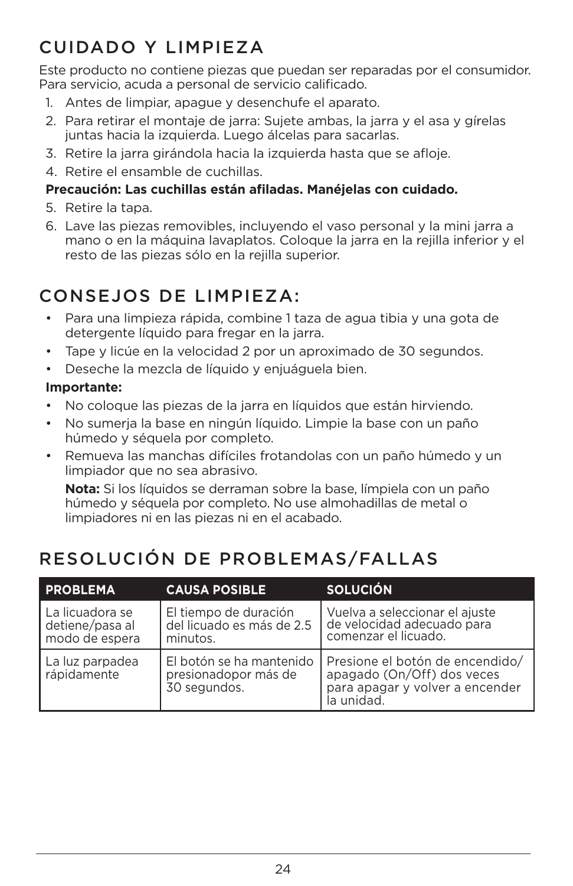# CUIDADO Y LIMPIEZA

Este producto no contiene piezas que puedan ser reparadas por el consumidor. Para servicio, acuda a personal de servicio calificado.

- 1. Antes de limpiar, apague y desenchufe el aparato.
- 2. Para retirar el montaje de jarra: Sujete ambas, la jarra y el asa y gírelas juntas hacia la izquierda. Luego álcelas para sacarlas.
- 3. Retire la jarra girándola hacia la izquierda hasta que se afloje.
- 4. Retire el ensamble de cuchillas.

## **Precaución: Las cuchillas están afiladas. Manéjelas con cuidado.**

- 5. Retire la tapa.
- 6. Lave las piezas removibles, incluyendo el vaso personal y la mini jarra a mano o en la máquina lavaplatos. Coloque la jarra en la rejilla inferior y el resto de las piezas sólo en la rejilla superior.

# CONSEJOS DE LIMPIEZA:

- Para una limpieza rápida, combine 1 taza de agua tibia y una gota de detergente líquido para fregar en la jarra.
- Tape y licúe en la velocidad 2 por un aproximado de 30 segundos.
- Deseche la mezcla de líquido y enjuáguela bien.

## **Importante:**

- No coloque las piezas de la jarra en líquidos que están hirviendo.
- No sumerja la base en ningún líquido. Limpie la base con un paño húmedo y séquela por completo.
- Remueva las manchas difíciles frotandolas con un paño húmedo y un limpiador que no sea abrasivo.

**Nota:** Si los líquidos se derraman sobre la base, límpiela con un paño húmedo y séquela por completo. No use almohadillas de metal o limpiadores ni en las piezas ni en el acabado.

# RESOLUCIÓN DE PROBLEMAS/FALLAS

| <b>PROBLEMA</b>                                      | <b>CAUSA POSIBLE</b>                                             | <b>SOLUCIÓN</b>                                                                                                |
|------------------------------------------------------|------------------------------------------------------------------|----------------------------------------------------------------------------------------------------------------|
| La licuadora se<br>detiene/pasa al<br>modo de espera | El tiempo de duración<br>del licuado es más de 2.5<br>minutos.   | Vuelva a seleccionar el ajuste<br>de velocidad adecuado para<br>comenzar el licuado.                           |
| La luz parpadea<br>rápidamente                       | El botón se ha mantenido<br>presionadopor más de<br>30 segundos. | Presione el botón de encendido/<br>apagado (On/Off) dos veces<br>para apagar y volver a encender<br>la unidad. |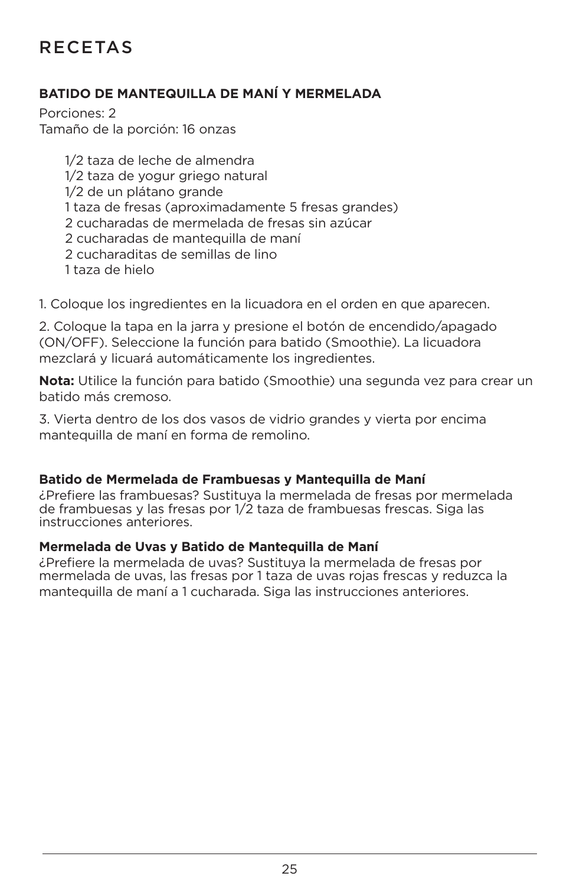# RECETAS

## **BATIDO DE MANTEQUILLA DE MANÍ Y MERMELADA**

Porciones: 2 Tamaño de la porción: 16 onzas

> 1/2 taza de leche de almendra 1/2 taza de yogur griego natural 1/2 de un plátano grande 1 taza de fresas (aproximadamente 5 fresas grandes) 2 cucharadas de mermelada de fresas sin azúcar 2 cucharadas de mantequilla de maní 2 cucharaditas de semillas de lino 1 taza de hielo

1. Coloque los ingredientes en la licuadora en el orden en que aparecen.

2. Coloque la tapa en la jarra y presione el botón de encendido/apagado (ON/OFF). Seleccione la función para batido (Smoothie). La licuadora mezclará y licuará automáticamente los ingredientes.

**Nota:** Utilice la función para batido (Smoothie) una segunda vez para crear un batido más cremoso.

3. Vierta dentro de los dos vasos de vidrio grandes y vierta por encima mantequilla de maní en forma de remolino.

#### **Batido de Mermelada de Frambuesas y Mantequilla de Maní**

¿Prefiere las frambuesas? Sustituya la mermelada de fresas por mermelada de frambuesas y las fresas por 1/2 taza de frambuesas frescas. Siga las instrucciones anteriores.

#### **Mermelada de Uvas y Batido de Mantequilla de Maní**

¿Prefiere la mermelada de uvas? Sustituya la mermelada de fresas por mermelada de uvas, las fresas por 1 taza de uvas rojas frescas y reduzca la mantequilla de maní a 1 cucharada. Siga las instrucciones anteriores.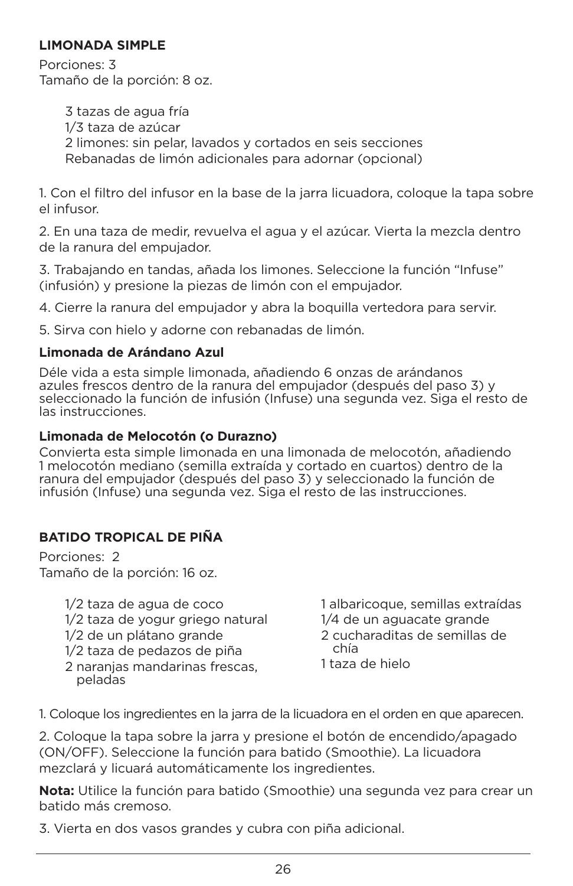### **LIMONADA SIMPLE**

Porciones: 3 Tamaño de la porción: 8 oz.

> 3 tazas de agua fría 1/3 taza de azúcar 2 limones: sin pelar, lavados y cortados en seis secciones Rebanadas de limón adicionales para adornar (opcional)

1. Con el filtro del infusor en la base de la jarra licuadora, coloque la tapa sobre el infusor.

2. En una taza de medir, revuelva el agua y el azúcar. Vierta la mezcla dentro de la ranura del empujador.

3. Trabajando en tandas, añada los limones. Seleccione la función "Infuse" (infusión) y presione la piezas de limón con el empujador.

4. Cierre la ranura del empujador y abra la boquilla vertedora para servir.

5. Sirva con hielo y adorne con rebanadas de limón.

## **Limonada de Arándano Azul**

Déle vida a esta simple limonada, añadiendo 6 onzas de arándanos azules frescos dentro de la ranura del empujador (después del paso 3) y seleccionado la función de infusión (Infuse) una segunda vez. Siga el resto de las instrucciones.

## **Limonada de Melocotón (o Durazno)**

Convierta esta simple limonada en una limonada de melocotón, añadiendo 1 melocotón mediano (semilla extraída y cortado en cuartos) dentro de la ranura del empujador (después del paso 3) y seleccionado la función de infusión (Infuse) una segunda vez. Siga el resto de las instrucciones.

## **BATIDO TROPICAL DE PIÑA**

Porciones: 2 Tamaño de la porción: 16 oz.

- 1/2 taza de agua de coco
- 1/2 taza de yogur griego natural
- 1/2 de un plátano grande
- 1/2 taza de pedazos de piña
- 2 naranjas mandarinas frescas, peladas

1 albaricoque, semillas extraídas 1/4 de un aguacate grande 2 cucharaditas de semillas de

chía

1 taza de hielo

1. Coloque los ingredientes en la jarra de la licuadora en el orden en que aparecen.

2. Coloque la tapa sobre la jarra y presione el botón de encendido/apagado (ON/OFF). Seleccione la función para batido (Smoothie). La licuadora mezclará y licuará automáticamente los ingredientes.

**Nota:** Utilice la función para batido (Smoothie) una segunda vez para crear un batido más cremoso.

3. Vierta en dos vasos grandes y cubra con piña adicional.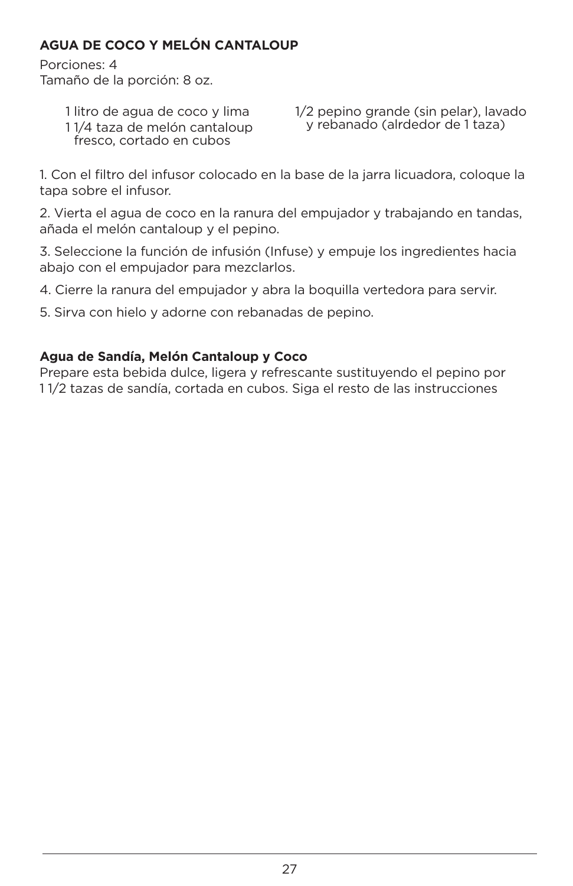## **AGUA DE COCO Y MELÓN CANTALOUP**

Porciones: 4 Tamaño de la porción: 8 oz.

> 1 litro de agua de coco y lima 1 1/4 taza de melón cantaloup fresco, cortado en cubos

1/2 pepino grande (sin pelar), lavado y rebanado (alrdedor de 1 taza)

1. Con el filtro del infusor colocado en la base de la jarra licuadora, coloque la tapa sobre el infusor.

2. Vierta el agua de coco en la ranura del empujador y trabajando en tandas, añada el melón cantaloup y el pepino.

3. Seleccione la función de infusión (Infuse) y empuje los ingredientes hacia abajo con el empujador para mezclarlos.

4. Cierre la ranura del empujador y abra la boquilla vertedora para servir.

5. Sirva con hielo y adorne con rebanadas de pepino.

## **Agua de Sandía, Melón Cantaloup y Coco**

Prepare esta bebida dulce, ligera y refrescante sustituyendo el pepino por 1 1/2 tazas de sandía, cortada en cubos. Siga el resto de las instrucciones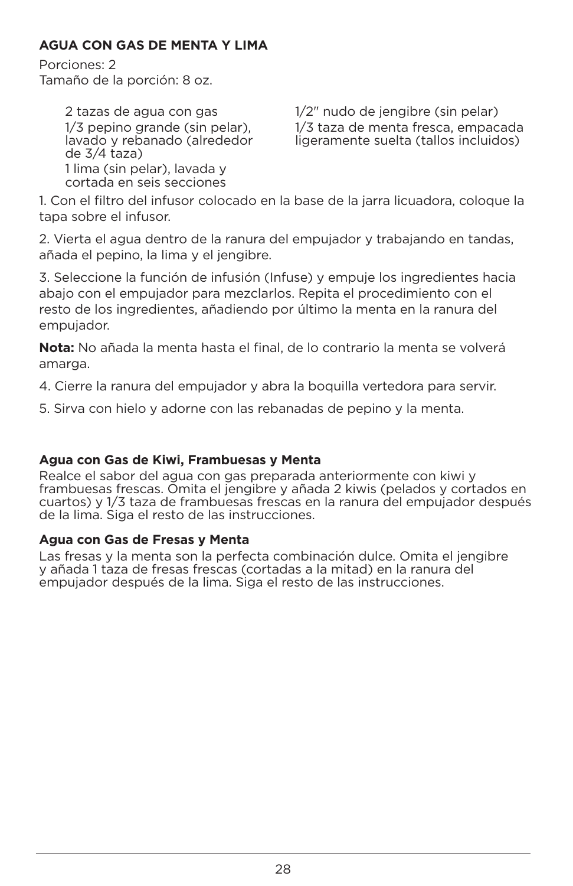## **AGUA CON GAS DE MENTA Y LIMA**

Porciones: 2 Tamaño de la porción: 8 oz.

> 2 tazas de agua con gas 1/3 pepino grande (sin pelar), lavado y rebanado (alrededor de 3/4 taza) 1 lima (sin pelar), lavada y cortada en seis secciones

1/2" nudo de jengibre (sin pelar) 1/3 taza de menta fresca, empacada ligeramente suelta (tallos incluidos)

1. Con el filtro del infusor colocado en la base de la jarra licuadora, coloque la tapa sobre el infusor.

2. Vierta el agua dentro de la ranura del empujador y trabajando en tandas, añada el pepino, la lima y el jengibre.

3. Seleccione la función de infusión (Infuse) y empuje los ingredientes hacia abajo con el empujador para mezclarlos. Repita el procedimiento con el resto de los ingredientes, añadiendo por último la menta en la ranura del empujador.

**Nota:** No añada la menta hasta el final, de lo contrario la menta se volverá amarga.

4. Cierre la ranura del empujador y abra la boquilla vertedora para servir.

5. Sirva con hielo y adorne con las rebanadas de pepino y la menta.

## **Agua con Gas de Kiwi, Frambuesas y Menta**

Realce el sabor del agua con gas preparada anteriormente con kiwi y frambuesas frescas. Omita el jengibre y añada 2 kiwis (pelados y cortados en cuartos) y 1/3 taza de frambuesas frescas en la ranura del empujador después de la lima. Siga el resto de las instrucciones.

## **Agua con Gas de Fresas y Menta**

Las fresas y la menta son la perfecta combinación dulce. Omita el jengibre y añada 1 taza de fresas frescas (cortadas a la mitad) en la ranura del empujador después de la lima. Siga el resto de las instrucciones.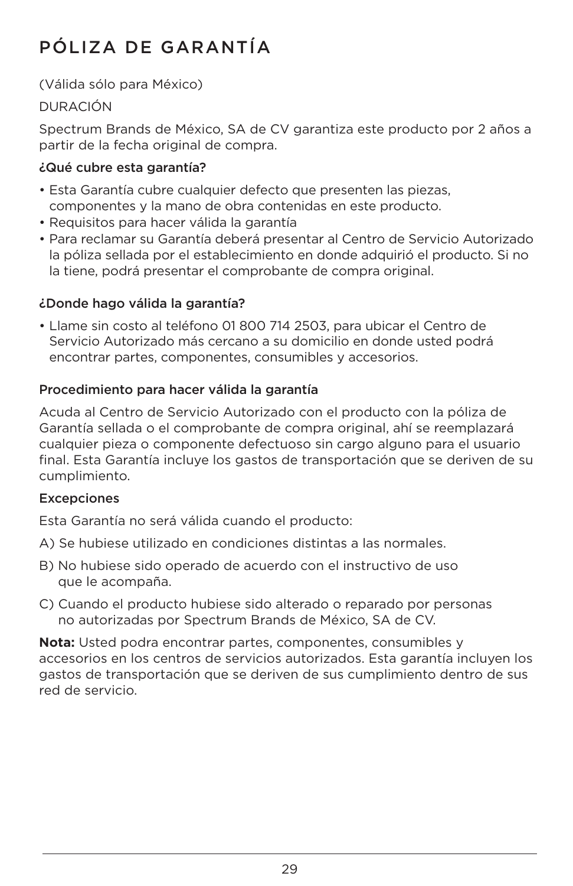# PÓLIZA DE GARANTÍA

(Válida sólo para México)

## DURACIÓN

Spectrum Brands de México, SA de CV garantiza este producto por 2 años a partir de la fecha original de compra.

## ¿Qué cubre esta garantía?

- Esta Garantía cubre cualquier defecto que presenten las piezas, componentes y la mano de obra contenidas en este producto.
- Requisitos para hacer válida la garantía
- Para reclamar su Garantía deberá presentar al Centro de Servicio Autorizado la póliza sellada por el establecimiento en donde adquirió el producto. Si no la tiene, podrá presentar el comprobante de compra original.

## ¿Donde hago válida la garantía?

• Llame sin costo al teléfono 01 800 714 2503, para ubicar el Centro de Servicio Autorizado más cercano a su domicilio en donde usted podrá encontrar partes, componentes, consumibles y accesorios.

## Procedimiento para hacer válida la garantía

Acuda al Centro de Servicio Autorizado con el producto con la póliza de Garantía sellada o el comprobante de compra original, ahí se reemplazará cualquier pieza o componente defectuoso sin cargo alguno para el usuario final. Esta Garantía incluye los gastos de transportación que se deriven de su cumplimiento.

## **Excepciones**

Esta Garantía no será válida cuando el producto:

- A) Se hubiese utilizado en condiciones distintas a las normales.
- B) No hubiese sido operado de acuerdo con el instructivo de uso que le acompaña.
- C) Cuando el producto hubiese sido alterado o reparado por personas no autorizadas por Spectrum Brands de México, SA de CV.

**Nota:** Usted podra encontrar partes, componentes, consumibles y accesorios en los centros de servicios autorizados. Esta garantía incluyen los gastos de transportación que se deriven de sus cumplimiento dentro de sus red de servicio.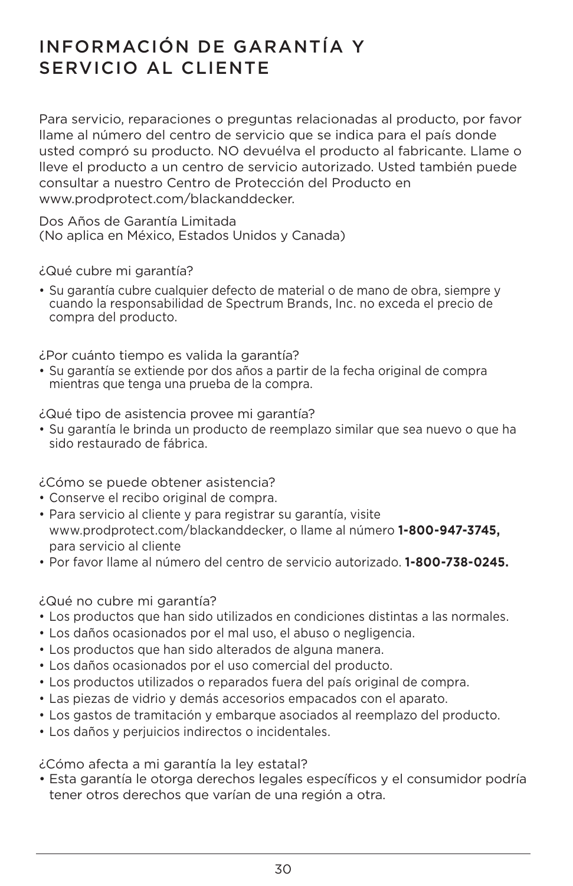## INFORMACIÓN DE GARANTÍA Y SERVICIO AL CLIENTE

Para servicio, reparaciones o preguntas relacionadas al producto, por favor llame al número del centro de servicio que se indica para el país donde usted compró su producto. NO devuélva el producto al fabricante. Llame o lleve el producto a un centro de servicio autorizado. Usted también puede consultar a nuestro Centro de Protección del Producto en www.prodprotect.com/blackanddecker.

Dos Años de Garantía Limitada (No aplica en México, Estados Unidos y Canada)

¿Qué cubre mi garantía?

• Su garantía cubre cualquier defecto de material o de mano de obra, siempre y cuando la responsabilidad de Spectrum Brands, Inc. no exceda el precio de compra del producto.

¿Por cuánto tiempo es valida la garantía?

• Su garantía se extiende por dos años a partir de la fecha original de compra mientras que tenga una prueba de la compra.

¿Qué tipo de asistencia provee mi garantía?

• Su garantía le brinda un producto de reemplazo similar que sea nuevo o que ha sido restaurado de fábrica.

¿Cómo se puede obtener asistencia?

- Conserve el recibo original de compra.
- Para servicio al cliente y para registrar su garantía, visite www.prodprotect.com/blackanddecker, o llame al número **1-800-947-3745,**  para servicio al cliente
- Por favor llame al número del centro de servicio autorizado. **1-800-738-0245.**

## ¿Qué no cubre mi garantía?

- Los productos que han sido utilizados en condiciones distintas a las normales.
- Los daños ocasionados por el mal uso, el abuso o negligencia.
- Los productos que han sido alterados de alguna manera.
- Los daños ocasionados por el uso comercial del producto.
- Los productos utilizados o reparados fuera del país original de compra.
- Las piezas de vidrio y demás accesorios empacados con el aparato.
- Los gastos de tramitación y embarque asociados al reemplazo del producto.
- Los daños y perjuicios indirectos o incidentales.

¿Cómo afecta a mi garantía la ley estatal?

• Esta garantía le otorga derechos legales específicos y el consumidor podría tener otros derechos que varían de una región a otra.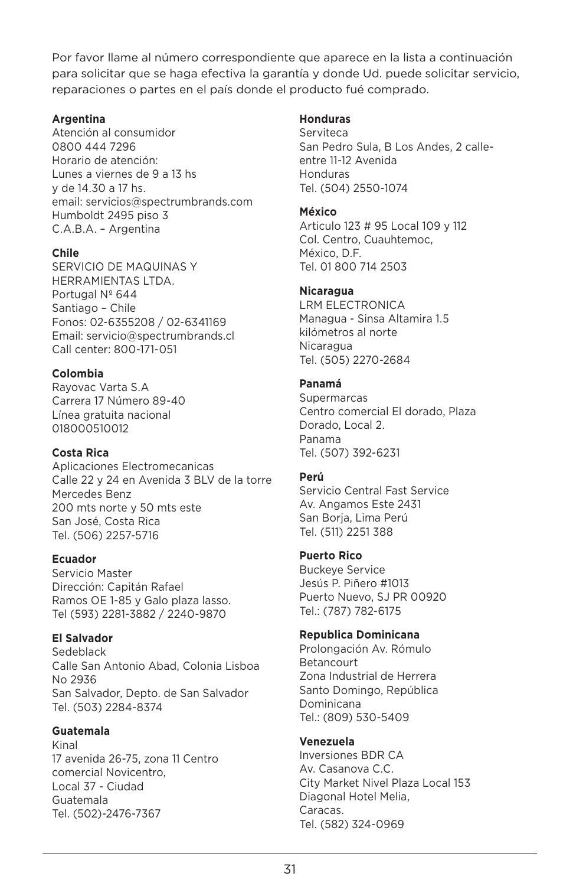Por favor llame al número correspondiente que aparece en la lista a continuación para solicitar que se haga efectiva la garantía y donde Ud. puede solicitar servicio, reparaciones o partes en el país donde el producto fué comprado.

#### **Argentina**

Atención al consumidor 0800 444 7296 Horario de atención: Lunes a viernes de 9 a 13 hs y de 14.30 a 17 hs. email: servicios@spectrumbrands.com Humboldt 2495 piso 3 C.A.B.A. – Argentina

#### **Chile**

SERVICIO DE MAQUINAS Y HERRAMIENTAS LTDA. Portugal Nº 644 Santiago – Chile Fonos: 02-6355208 / 02-6341169 Email: servicio@spectrumbrands.cl Call center: 800-171-051

#### **Colombia**

Rayovac Varta S.A Carrera 17 Número 89-40 Línea gratuita nacional 018000510012

#### **Costa Rica**

Aplicaciones Electromecanicas Calle 22 y 24 en Avenida 3 BLV de la torre Mercedes Benz 200 mts norte y 50 mts este San José, Costa Rica Tel. (506) 2257-5716

#### **Ecuador**

Servicio Master Dirección: Capitán Rafael Ramos OE 1-85 y Galo plaza lasso. Tel (593) 2281-3882 / 2240-9870

#### **El Salvador**

Sedeblack Calle San Antonio Abad, Colonia Lisboa No 2936 San Salvador, Depto. de San Salvador Tel. (503) 2284-8374

#### **Guatemala**

Kinal 17 avenida 26-75, zona 11 Centro comercial Novicentro, Local 37 - Ciudad Guatemala Tel. (502)-2476-7367

#### **Honduras**

**Serviteca** San Pedro Sula, B Los Andes, 2 calleentre 11-12 Avenida Honduras Tel. (504) 2550-1074

#### **México**

Articulo 123 # 95 Local 109 y 112 Col. Centro, Cuauhtemoc, México, D.F. Tel. 01 800 714 2503

#### **Nicaragua**

LRM ELECTRONICA Managua - Sinsa Altamira 1.5 kilómetros al norte Nicaragua Tel. (505) 2270-2684

#### **Panamá**

**Supermarcas** Centro comercial El dorado, Plaza Dorado, Local 2. Panama Tel. (507) 392-6231

#### **Perú**

Servicio Central Fast Service Av. Angamos Este 2431 San Borja, Lima Perú Tel. (511) 2251 388

#### **Puerto Rico**

Buckeye Service Jesús P. Piñero #1013 Puerto Nuevo, SJ PR 00920 Tel.: (787) 782-6175

#### **Republica Dominicana**

Prolongación Av. Rómulo Betancourt Zona Industrial de Herrera Santo Domingo, República Dominicana Tel.: (809) 530-5409

#### **Venezuela**

Inversiones BDR CA Av. Casanova C.C. City Market Nivel Plaza Local 153 Diagonal Hotel Melia, Caracas. Tel. (582) 324-0969